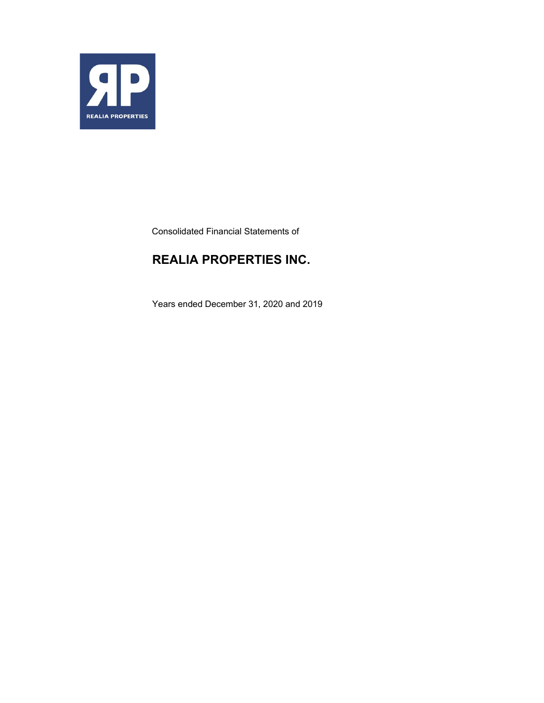

Consolidated Financial Statements of

### **REALIA PROPERTIES INC.**

Years ended December 31, 2020 and 2019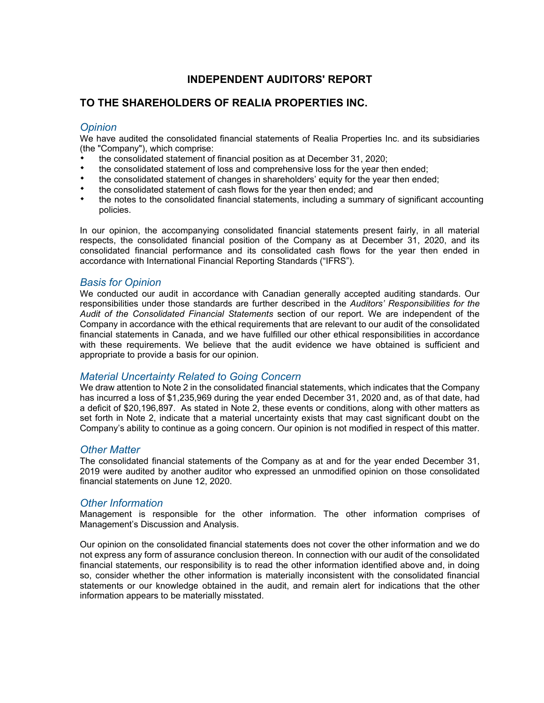### **INDEPENDENT AUDITORS' REPORT**

### **TO THE SHAREHOLDERS OF REALIA PROPERTIES INC.**

#### *Opinion*

We have audited the consolidated financial statements of Realia Properties Inc. and its subsidiaries (the "Company"), which comprise:

- the consolidated statement of financial position as at December 31, 2020;
- the consolidated statement of loss and comprehensive loss for the year then ended;
- the consolidated statement of changes in shareholders' equity for the year then ended;
- the consolidated statement of cash flows for the year then ended; and
- the notes to the consolidated financial statements, including a summary of significant accounting policies.

In our opinion, the accompanying consolidated financial statements present fairly, in all material respects, the consolidated financial position of the Company as at December 31, 2020, and its consolidated financial performance and its consolidated cash flows for the year then ended in accordance with International Financial Reporting Standards ("IFRS").

#### *Basis for Opinion*

We conducted our audit in accordance with Canadian generally accepted auditing standards. Our responsibilities under those standards are further described in the *Auditors' Responsibilities for the Audit of the Consolidated Financial Statements* section of our report. We are independent of the Company in accordance with the ethical requirements that are relevant to our audit of the consolidated financial statements in Canada, and we have fulfilled our other ethical responsibilities in accordance with these requirements. We believe that the audit evidence we have obtained is sufficient and appropriate to provide a basis for our opinion.

#### *Material Uncertainty Related to Going Concern*

We draw attention to Note 2 in the consolidated financial statements, which indicates that the Company has incurred a loss of \$1,235,969 during the year ended December 31, 2020 and, as of that date, had a deficit of \$20,196,897. As stated in Note 2, these events or conditions, along with other matters as set forth in Note 2, indicate that a material uncertainty exists that may cast significant doubt on the Company's ability to continue as a going concern. Our opinion is not modified in respect of this matter.

#### *Other Matter*

The consolidated financial statements of the Company as at and for the year ended December 31, 2019 were audited by another auditor who expressed an unmodified opinion on those consolidated financial statements on June 12, 2020.

#### *Other Information*

Management is responsible for the other information. The other information comprises of Management's Discussion and Analysis.

Our opinion on the consolidated financial statements does not cover the other information and we do not express any form of assurance conclusion thereon. In connection with our audit of the consolidated financial statements, our responsibility is to read the other information identified above and, in doing so, consider whether the other information is materially inconsistent with the consolidated financial statements or our knowledge obtained in the audit, and remain alert for indications that the other information appears to be materially misstated.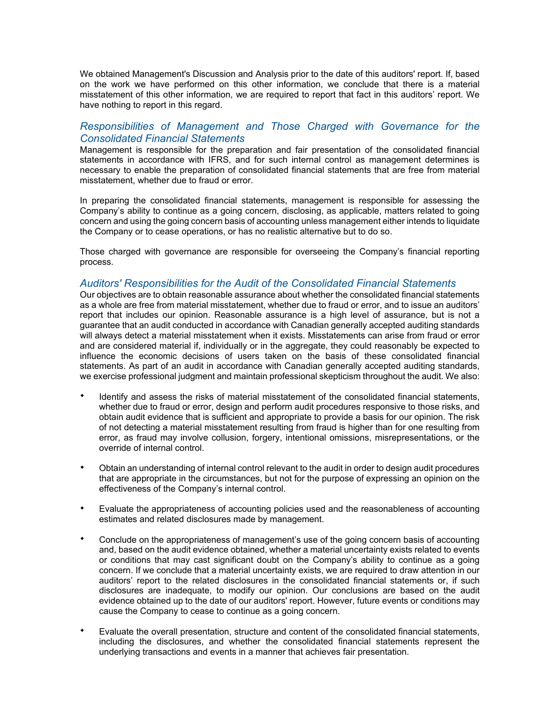We obtained Management's Discussion and Analysis prior to the date of this auditors' report. If, based on the work we have performed on this other information, we conclude that there is a material misstatement of this other information, we are required to report that fact in this auditors' report. We have nothing to report in this regard.

### *Responsibilities of Management and Those Charged with Governance for the Consolidated Financial Statements*

Management is responsible for the preparation and fair presentation of the consolidated financial statements in accordance with IFRS, and for such internal control as management determines is necessary to enable the preparation of consolidated financial statements that are free from material misstatement, whether due to fraud or error.

In preparing the consolidated financial statements, management is responsible for assessing the Company's ability to continue as a going concern, disclosing, as applicable, matters related to going concern and using the going concern basis of accounting unless management either intends to liquidate the Company or to cease operations, or has no realistic alternative but to do so.

Those charged with governance are responsible for overseeing the Company's financial reporting process.

#### *Auditors' Responsibilities for the Audit of the Consolidated Financial Statements*

Our objectives are to obtain reasonable assurance about whether the consolidated financial statements as a whole are free from material misstatement, whether due to fraud or error, and to issue an auditors' report that includes our opinion. Reasonable assurance is a high level of assurance, but is not a guarantee that an audit conducted in accordance with Canadian generally accepted auditing standards will always detect a material misstatement when it exists. Misstatements can arise from fraud or error and are considered material if, individually or in the aggregate, they could reasonably be expected to influence the economic decisions of users taken on the basis of these consolidated financial statements. As part of an audit in accordance with Canadian generally accepted auditing standards, we exercise professional judgment and maintain professional skepticism throughout the audit. We also:

- Identify and assess the risks of material misstatement of the consolidated financial statements, whether due to fraud or error, design and perform audit procedures responsive to those risks, and obtain audit evidence that is sufficient and appropriate to provide a basis for our opinion. The risk of not detecting a material misstatement resulting from fraud is higher than for one resulting from error, as fraud may involve collusion, forgery, intentional omissions, misrepresentations, or the override of internal control.
- Obtain an understanding of internal control relevant to the audit in order to design audit procedures that are appropriate in the circumstances, but not for the purpose of expressing an opinion on the effectiveness of the Company's internal control.
- Evaluate the appropriateness of accounting policies used and the reasonableness of accounting estimates and related disclosures made by management.
- Conclude on the appropriateness of management's use of the going concern basis of accounting and, based on the audit evidence obtained, whether a material uncertainty exists related to events or conditions that may cast significant doubt on the Company's ability to continue as a going concern. If we conclude that a material uncertainty exists, we are required to draw attention in our auditors' report to the related disclosures in the consolidated financial statements or, if such disclosures are inadequate, to modify our opinion. Our conclusions are based on the audit evidence obtained up to the date of our auditors' report. However, future events or conditions may cause the Company to cease to continue as a going concern.
- Evaluate the overall presentation, structure and content of the consolidated financial statements, including the disclosures, and whether the consolidated financial statements represent the underlying transactions and events in a manner that achieves fair presentation.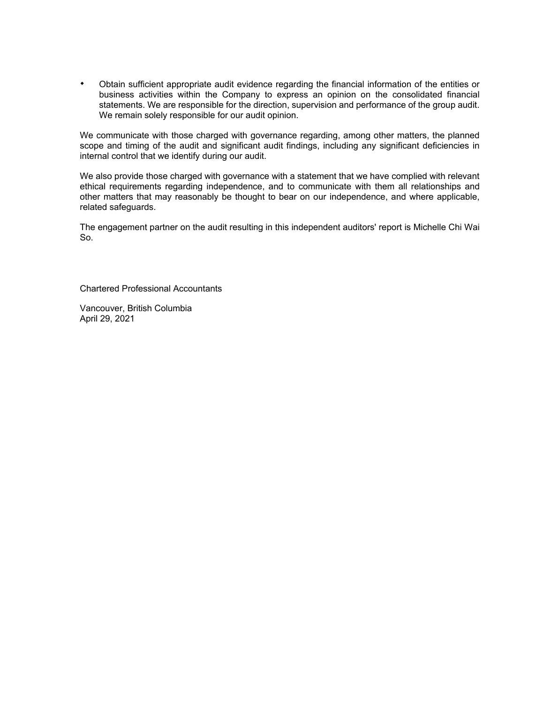Obtain sufficient appropriate audit evidence regarding the financial information of the entities or business activities within the Company to express an opinion on the consolidated financial statements. We are responsible for the direction, supervision and performance of the group audit. We remain solely responsible for our audit opinion.

We communicate with those charged with governance regarding, among other matters, the planned scope and timing of the audit and significant audit findings, including any significant deficiencies in internal control that we identify during our audit.

We also provide those charged with governance with a statement that we have complied with relevant ethical requirements regarding independence, and to communicate with them all relationships and other matters that may reasonably be thought to bear on our independence, and where applicable, related safeguards.

The engagement partner on the audit resulting in this independent auditors' report is Michelle Chi Wai So.

Chartered Professional Accountants

Vancouver, British Columbia April 29, 2021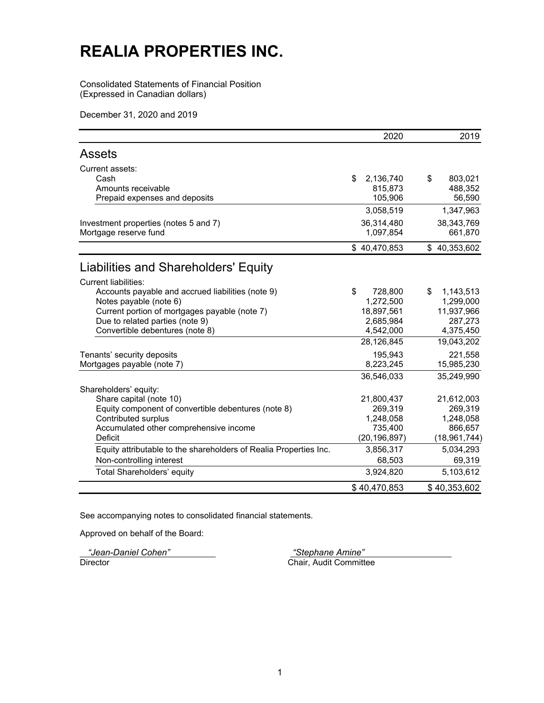Consolidated Statements of Financial Position (Expressed in Canadian dollars)

December 31, 2020 and 2019

|                                                                   | 2020            | 2019            |
|-------------------------------------------------------------------|-----------------|-----------------|
| <b>Assets</b>                                                     |                 |                 |
| Current assets:                                                   |                 |                 |
| Cash                                                              | \$<br>2,136,740 | \$<br>803,021   |
| Amounts receivable                                                | 815,873         | 488,352         |
| Prepaid expenses and deposits                                     | 105,906         | 56,590          |
|                                                                   | 3,058,519       | 1,347,963       |
| Investment properties (notes 5 and 7)                             | 36,314,480      | 38,343,769      |
| Mortgage reserve fund                                             | 1,097,854       | 661,870         |
|                                                                   | \$40,470,853    | \$40,353,602    |
| Liabilities and Shareholders' Equity                              |                 |                 |
| <b>Current liabilities:</b>                                       |                 |                 |
| Accounts payable and accrued liabilities (note 9)                 | \$<br>728,800   | \$<br>1,143,513 |
| Notes payable (note 6)                                            | 1,272,500       | 1,299,000       |
| Current portion of mortgages payable (note 7)                     | 18,897,561      | 11,937,966      |
| Due to related parties (note 9)                                   | 2,685,984       | 287,273         |
| Convertible debentures (note 8)                                   | 4,542,000       | 4,375,450       |
|                                                                   | 28,126,845      | 19,043,202      |
| Tenants' security deposits                                        | 195,943         | 221,558         |
| Mortgages payable (note 7)                                        | 8,223,245       | 15,985,230      |
|                                                                   | 36,546,033      | 35,249,990      |
| Shareholders' equity:                                             |                 |                 |
| Share capital (note 10)                                           | 21,800,437      | 21,612,003      |
| Equity component of convertible debentures (note 8)               | 269,319         | 269,319         |
| Contributed surplus                                               | 1,248,058       | 1,248,058       |
| Accumulated other comprehensive income                            | 735,400         | 866,657         |
| Deficit                                                           | (20, 196, 897)  | (18,961,744)    |
| Equity attributable to the shareholders of Realia Properties Inc. | 3,856,317       | 5,034,293       |
| Non-controlling interest                                          | 68,503          | 69,319          |
| Total Shareholders' equity                                        | 3,924,820       | 5,103,612       |
|                                                                   | \$40,470,853    | \$40,353,602    |

See accompanying notes to consolidated financial statements.

Approved on behalf of the Board:

*"Jean-Daniel Cohen"* [*Director*]

"Stephane Amine"<br>Chair, Audit Committee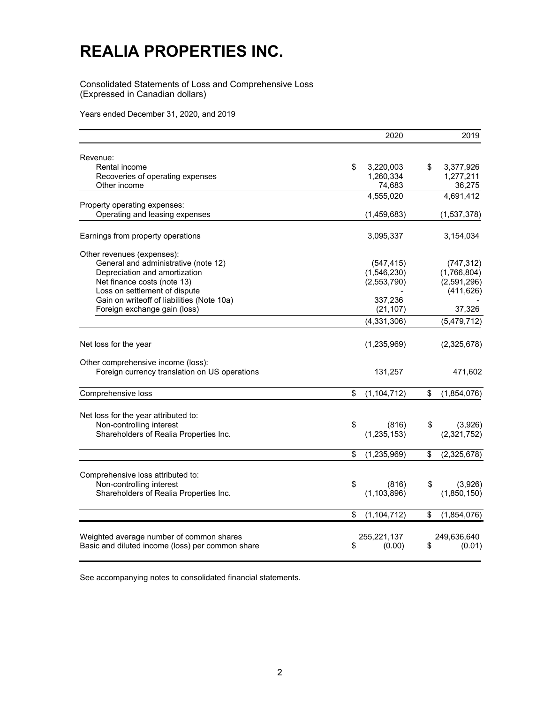Consolidated Statements of Loss and Comprehensive Loss (Expressed in Canadian dollars)

Years ended December 31, 2020, and 2019

|                                                  | 2020                | 2019              |
|--------------------------------------------------|---------------------|-------------------|
|                                                  |                     |                   |
| Revenue:                                         |                     |                   |
| Rental income                                    | \$<br>3,220,003     | \$<br>3,377,926   |
| Recoveries of operating expenses                 | 1,260,334           | 1,277,211         |
| Other income                                     | 74,683              | 36,275            |
|                                                  | 4,555,020           | 4,691,412         |
| Property operating expenses:                     |                     |                   |
| Operating and leasing expenses                   | (1,459,683)         | (1,537,378)       |
| Earnings from property operations                | 3,095,337           | 3,154,034         |
| Other revenues (expenses):                       |                     |                   |
| General and administrative (note 12)             | (547, 415)          | (747, 312)        |
| Depreciation and amortization                    | (1,546,230)         | (1,766,804)       |
| Net finance costs (note 13)                      | (2,553,790)         | (2,591,296)       |
| Loss on settlement of dispute                    |                     | (411, 626)        |
| Gain on writeoff of liabilities (Note 10a)       | 337,236             |                   |
| Foreign exchange gain (loss)                     | (21, 107)           | 37,326            |
|                                                  | (4, 331, 306)       |                   |
|                                                  |                     | (5,479,712)       |
| Net loss for the year                            | (1,235,969)         | (2,325,678)       |
| Other comprehensive income (loss):               |                     |                   |
| Foreign currency translation on US operations    | 131,257             | 471,602           |
|                                                  |                     |                   |
| Comprehensive loss                               | \$<br>(1, 104, 712) | \$<br>(1,854,076) |
|                                                  |                     |                   |
| Net loss for the year attributed to:             |                     |                   |
| Non-controlling interest                         | \$<br>(816)         | \$<br>(3,926)     |
| Shareholders of Realia Properties Inc.           | (1, 235, 153)       | (2,321,752)       |
|                                                  | \$<br>(1,235,969)   | \$<br>(2,325,678) |
|                                                  |                     |                   |
| Comprehensive loss attributed to:                |                     |                   |
| Non-controlling interest                         | \$<br>(816)         | \$<br>(3,926)     |
| Shareholders of Realia Properties Inc.           | (1, 103, 896)       | (1,850,150)       |
|                                                  |                     |                   |
|                                                  | \$<br>(1, 104, 712) | \$<br>(1,854,076) |
|                                                  |                     |                   |
| Weighted average number of common shares         | 255,221,137         | 249,636,640       |
| Basic and diluted income (loss) per common share | \$<br>(0.00)        | \$<br>(0.01)      |
|                                                  |                     |                   |

See accompanying notes to consolidated financial statements.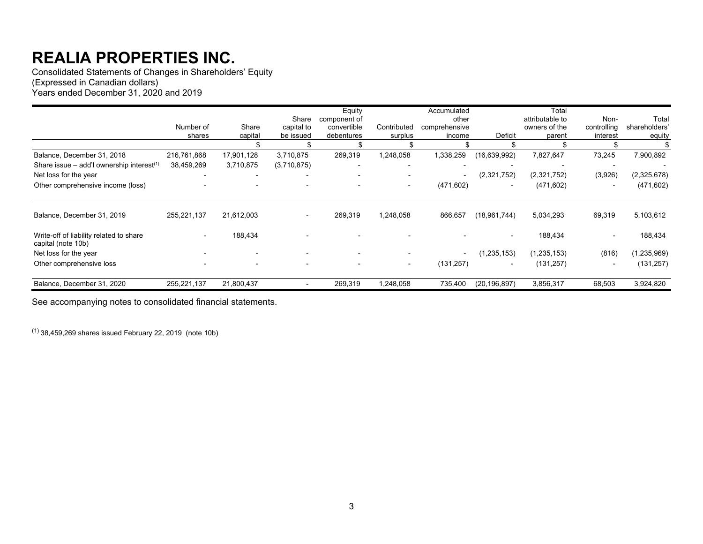Consolidated Statements of Changes in Shareholders' Equity (Expressed in Canadian dollars) Years ended December 31, 2020 and 2019

|                                                               |                          |                          |                          | Equity                   |                          | Accumulated              |                          | Total           |                          |               |
|---------------------------------------------------------------|--------------------------|--------------------------|--------------------------|--------------------------|--------------------------|--------------------------|--------------------------|-----------------|--------------------------|---------------|
|                                                               |                          |                          | Share                    | component of             |                          | other                    |                          | attributable to | Non-                     | Total         |
|                                                               | Number of                | Share                    | capital to               | convertible              | Contributed              | comprehensive            |                          | owners of the   | controlling              | shareholders' |
|                                                               | shares                   | capital                  | be issued                | debentures               | surplus                  | income                   | Deficit                  | parent          | interest                 | equity        |
|                                                               |                          | \$                       | \$                       | \$                       | ደ                        |                          |                          |                 |                          |               |
| Balance, December 31, 2018                                    | 216,761,868              | 17,901,128               | 3,710,875                | 269,319                  | 1,248,058                | 1,338,259                | (16, 639, 992)           | 7,827,647       | 73,245                   | 7,900,892     |
| Share issue $-$ add'l ownership interest <sup>(1)</sup>       | 38,459,269               | 3,710,875                | (3,710,875)              |                          | $\overline{\phantom{0}}$ |                          |                          |                 | $\overline{\phantom{0}}$ |               |
| Net loss for the year                                         | $\overline{\phantom{0}}$ | $\overline{\phantom{0}}$ | $\overline{\phantom{a}}$ | $\overline{\phantom{0}}$ | $\overline{\phantom{0}}$ | $\overline{\phantom{a}}$ | (2,321,752)              | (2,321,752)     | (3,926)                  | (2,325,678)   |
| Other comprehensive income (loss)                             |                          | $\overline{\phantom{0}}$ | $\overline{\phantom{0}}$ | $\overline{\phantom{0}}$ | $\blacksquare$           | (471, 602)               | $\overline{\phantom{a}}$ | (471, 602)      | $\overline{\phantom{0}}$ | (471, 602)    |
|                                                               |                          |                          |                          |                          |                          |                          |                          |                 |                          |               |
|                                                               |                          |                          |                          |                          |                          |                          |                          |                 |                          |               |
| Balance, December 31, 2019                                    | 255,221,137              | 21,612,003               | $\blacksquare$           | 269,319                  | 1,248,058                | 866,657                  | (18, 961, 744)           | 5,034,293       | 69,319                   | 5,103,612     |
|                                                               |                          |                          |                          |                          |                          |                          |                          |                 |                          |               |
| Write-off of liability related to share<br>capital (note 10b) | $\overline{\phantom{0}}$ | 188,434                  |                          |                          |                          |                          |                          | 188,434         |                          | 188,434       |
| Net loss for the year                                         |                          |                          |                          |                          |                          | $\overline{\phantom{a}}$ | (1,235,153)              | (1, 235, 153)   | (816)                    | (1, 235, 969) |
| Other comprehensive loss                                      |                          | $\overline{\phantom{a}}$ |                          |                          | $\overline{\phantom{a}}$ | (131, 257)               | $\overline{\phantom{0}}$ | (131, 257)      | $\overline{\phantom{a}}$ | (131, 257)    |
|                                                               |                          |                          |                          |                          |                          |                          |                          |                 |                          |               |
| Balance, December 31, 2020                                    | 255,221,137              | 21,800,437               | $\blacksquare$           | 269,319                  | 1,248,058                | 735,400                  | (20, 196, 897)           | 3,856,317       | 68,503                   | 3,924,820     |

See accompanying notes to consolidated financial statements.

 $(1)$  38,459,269 shares issued February 22, 2019 (note 10b)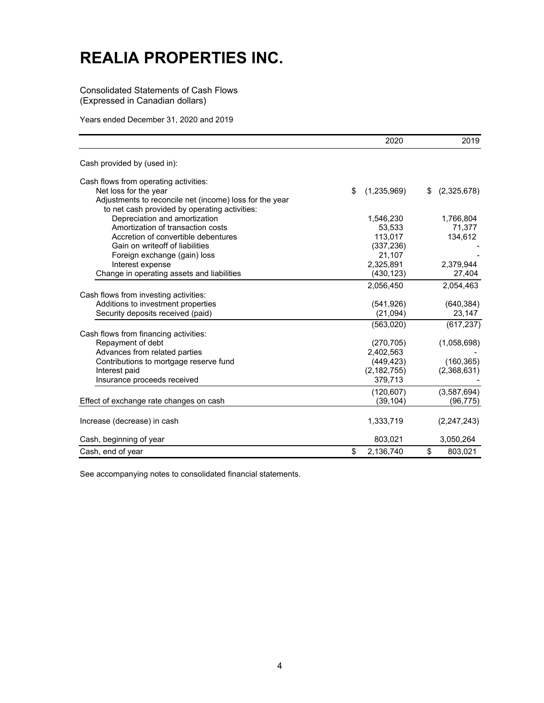Consolidated Statements of Cash Flows (Expressed in Canadian dollars)

Years ended December 31, 2020 and 2019

|                                                         | 2020              | 2019              |
|---------------------------------------------------------|-------------------|-------------------|
| Cash provided by (used in):                             |                   |                   |
| Cash flows from operating activities:                   |                   |                   |
| Net loss for the year                                   | \$<br>(1,235,969) | \$<br>(2,325,678) |
| Adjustments to reconcile net (income) loss for the year |                   |                   |
| to net cash provided by operating activities:           |                   |                   |
| Depreciation and amortization                           | 1,546,230         | 1,766,804         |
| Amortization of transaction costs                       | 53,533            | 71,377            |
| Accretion of convertible debentures                     | 113,017           | 134,612           |
| Gain on writeoff of liabilities                         | (337, 236)        |                   |
| Foreign exchange (gain) loss                            | 21,107            |                   |
| Interest expense                                        | 2,325,891         | 2,379,944         |
| Change in operating assets and liabilities              | (430,123)         | 27,404            |
|                                                         | 2,056,450         | 2,054,463         |
| Cash flows from investing activities:                   |                   |                   |
| Additions to investment properties                      | (541, 926)        | (640, 384)        |
| Security deposits received (paid)                       | (21,094)          | 23,147            |
|                                                         | (563,020)         | (617, 237)        |
| Cash flows from financing activities:                   |                   |                   |
| Repayment of debt                                       | (270, 705)        | (1,058,698)       |
| Advances from related parties                           | 2,402,563         |                   |
| Contributions to mortgage reserve fund                  | (449, 423)        | (160, 365)        |
| Interest paid                                           | (2, 182, 755)     | (2,368,631)       |
| Insurance proceeds received                             | 379,713           |                   |
|                                                         | (120, 607)        | (3,587,694)       |
| Effect of exchange rate changes on cash                 | (39, 104)         | (96, 775)         |
|                                                         |                   |                   |
| Increase (decrease) in cash                             | 1,333,719         | (2, 247, 243)     |
| Cash, beginning of year                                 | 803,021           | 3,050,264         |
|                                                         |                   |                   |
| Cash, end of year                                       | \$<br>2,136,740   | \$<br>803,021     |

See accompanying notes to consolidated financial statements.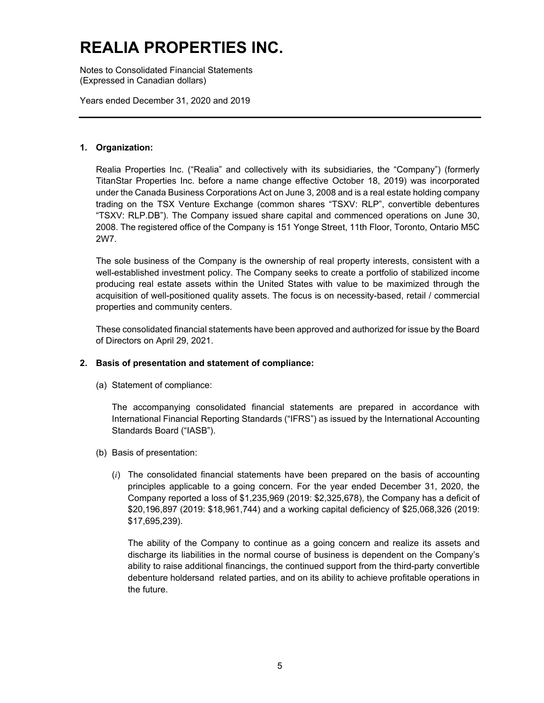Notes to Consolidated Financial Statements (Expressed in Canadian dollars)

Years ended December 31, 2020 and 2019

#### **1. Organization:**

Realia Properties Inc. ("Realia" and collectively with its subsidiaries, the "Company") (formerly TitanStar Properties Inc. before a name change effective October 18, 2019) was incorporated under the Canada Business Corporations Act on June 3, 2008 and is a real estate holding company trading on the TSX Venture Exchange (common shares "TSXV: RLP", convertible debentures "TSXV: RLP.DB"). The Company issued share capital and commenced operations on June 30, 2008. The registered office of the Company is 151 Yonge Street, 11th Floor, Toronto, Ontario M5C 2W7.

The sole business of the Company is the ownership of real property interests, consistent with a well-established investment policy. The Company seeks to create a portfolio of stabilized income producing real estate assets within the United States with value to be maximized through the acquisition of well-positioned quality assets. The focus is on necessity-based, retail / commercial properties and community centers.

These consolidated financial statements have been approved and authorized for issue by the Board of Directors on April 29, 2021.

#### **2. Basis of presentation and statement of compliance:**

(a) Statement of compliance:

The accompanying consolidated financial statements are prepared in accordance with International Financial Reporting Standards ("IFRS") as issued by the International Accounting Standards Board ("IASB").

- (b) Basis of presentation:
	- (*i*) The consolidated financial statements have been prepared on the basis of accounting principles applicable to a going concern. For the year ended December 31, 2020, the Company reported a loss of \$1,235,969 (2019: \$2,325,678), the Company has a deficit of \$20,196,897 (2019: \$18,961,744) and a working capital deficiency of \$25,068,326 (2019: \$17,695,239).

The ability of the Company to continue as a going concern and realize its assets and discharge its liabilities in the normal course of business is dependent on the Company's ability to raise additional financings, the continued support from the third-party convertible debenture holdersand related parties, and on its ability to achieve profitable operations in the future.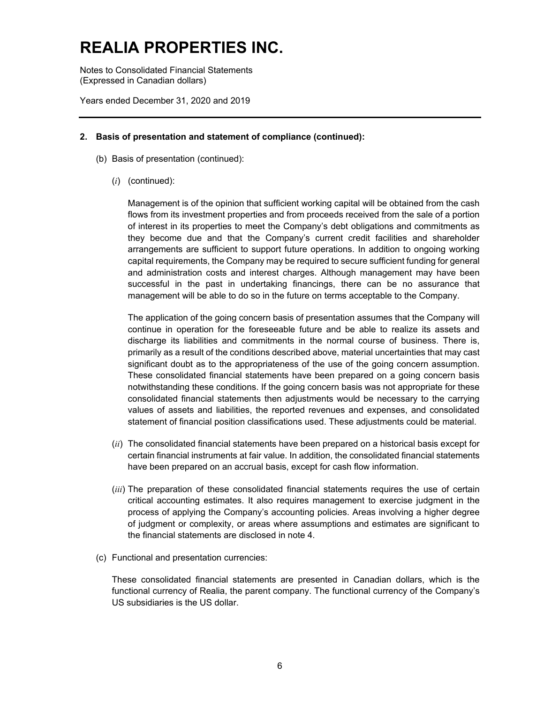Notes to Consolidated Financial Statements (Expressed in Canadian dollars)

Years ended December 31, 2020 and 2019

#### **2. Basis of presentation and statement of compliance (continued):**

- (b) Basis of presentation (continued):
	- (*i*) (continued):

Management is of the opinion that sufficient working capital will be obtained from the cash flows from its investment properties and from proceeds received from the sale of a portion of interest in its properties to meet the Company's debt obligations and commitments as they become due and that the Company's current credit facilities and shareholder arrangements are sufficient to support future operations. In addition to ongoing working capital requirements, the Company may be required to secure sufficient funding for general and administration costs and interest charges. Although management may have been successful in the past in undertaking financings, there can be no assurance that management will be able to do so in the future on terms acceptable to the Company.

The application of the going concern basis of presentation assumes that the Company will continue in operation for the foreseeable future and be able to realize its assets and discharge its liabilities and commitments in the normal course of business. There is, primarily as a result of the conditions described above, material uncertainties that may cast significant doubt as to the appropriateness of the use of the going concern assumption. These consolidated financial statements have been prepared on a going concern basis notwithstanding these conditions. If the going concern basis was not appropriate for these consolidated financial statements then adjustments would be necessary to the carrying values of assets and liabilities, the reported revenues and expenses, and consolidated statement of financial position classifications used. These adjustments could be material.

- (*ii*) The consolidated financial statements have been prepared on a historical basis except for certain financial instruments at fair value. In addition, the consolidated financial statements have been prepared on an accrual basis, except for cash flow information.
- (*iii*) The preparation of these consolidated financial statements requires the use of certain critical accounting estimates. It also requires management to exercise judgment in the process of applying the Company's accounting policies. Areas involving a higher degree of judgment or complexity, or areas where assumptions and estimates are significant to the financial statements are disclosed in note 4.
- (c) Functional and presentation currencies:

These consolidated financial statements are presented in Canadian dollars, which is the functional currency of Realia, the parent company. The functional currency of the Company's US subsidiaries is the US dollar.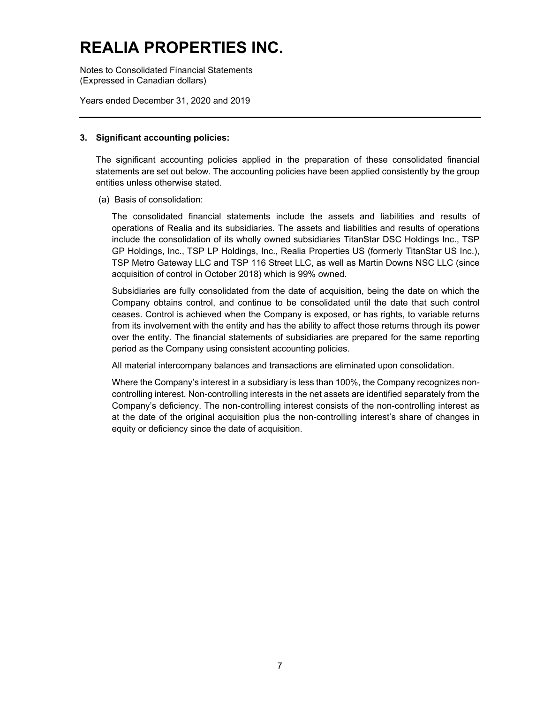Notes to Consolidated Financial Statements (Expressed in Canadian dollars)

Years ended December 31, 2020 and 2019

#### **3. Significant accounting policies:**

The significant accounting policies applied in the preparation of these consolidated financial statements are set out below. The accounting policies have been applied consistently by the group entities unless otherwise stated.

(a) Basis of consolidation:

The consolidated financial statements include the assets and liabilities and results of operations of Realia and its subsidiaries. The assets and liabilities and results of operations include the consolidation of its wholly owned subsidiaries TitanStar DSC Holdings Inc., TSP GP Holdings, Inc., TSP LP Holdings, Inc., Realia Properties US (formerly TitanStar US Inc.), TSP Metro Gateway LLC and TSP 116 Street LLC, as well as Martin Downs NSC LLC (since acquisition of control in October 2018) which is 99% owned.

Subsidiaries are fully consolidated from the date of acquisition, being the date on which the Company obtains control, and continue to be consolidated until the date that such control ceases. Control is achieved when the Company is exposed, or has rights, to variable returns from its involvement with the entity and has the ability to affect those returns through its power over the entity. The financial statements of subsidiaries are prepared for the same reporting period as the Company using consistent accounting policies.

All material intercompany balances and transactions are eliminated upon consolidation.

Where the Company's interest in a subsidiary is less than 100%, the Company recognizes noncontrolling interest. Non-controlling interests in the net assets are identified separately from the Company's deficiency. The non-controlling interest consists of the non-controlling interest as at the date of the original acquisition plus the non-controlling interest's share of changes in equity or deficiency since the date of acquisition.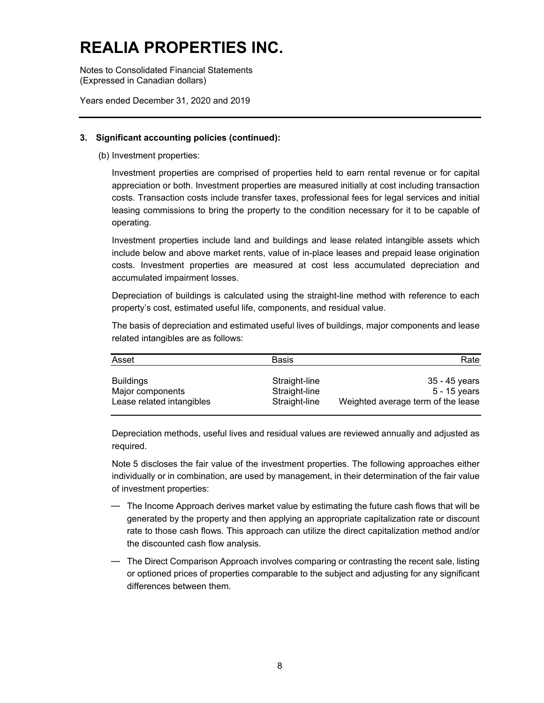Notes to Consolidated Financial Statements (Expressed in Canadian dollars)

Years ended December 31, 2020 and 2019

#### **3. Significant accounting policies (continued):**

(b) Investment properties:

Investment properties are comprised of properties held to earn rental revenue or for capital appreciation or both. Investment properties are measured initially at cost including transaction costs. Transaction costs include transfer taxes, professional fees for legal services and initial leasing commissions to bring the property to the condition necessary for it to be capable of operating.

Investment properties include land and buildings and lease related intangible assets which include below and above market rents, value of in-place leases and prepaid lease origination costs. Investment properties are measured at cost less accumulated depreciation and accumulated impairment losses.

Depreciation of buildings is calculated using the straight-line method with reference to each property's cost, estimated useful life, components, and residual value.

The basis of depreciation and estimated useful lives of buildings, major components and lease related intangibles are as follows:

| Asset                     | <b>Basis</b>  | Rate                               |
|---------------------------|---------------|------------------------------------|
| <b>Buildings</b>          | Straight-line | 35 - 45 years                      |
| Major components          | Straight-line | $5 - 15$ years                     |
| Lease related intangibles | Straight-line | Weighted average term of the lease |

Depreciation methods, useful lives and residual values are reviewed annually and adjusted as required.

Note 5 discloses the fair value of the investment properties. The following approaches either individually or in combination, are used by management, in their determination of the fair value of investment properties:

- ― The Income Approach derives market value by estimating the future cash flows that will be generated by the property and then applying an appropriate capitalization rate or discount rate to those cash flows. This approach can utilize the direct capitalization method and/or the discounted cash flow analysis.
- ― The Direct Comparison Approach involves comparing or contrasting the recent sale, listing or optioned prices of properties comparable to the subject and adjusting for any significant differences between them.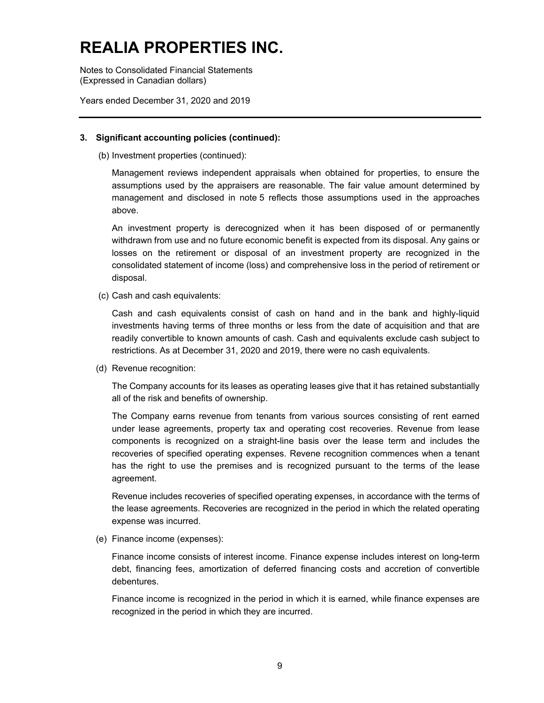Notes to Consolidated Financial Statements (Expressed in Canadian dollars)

Years ended December 31, 2020 and 2019

#### **3. Significant accounting policies (continued):**

(b) Investment properties (continued):

Management reviews independent appraisals when obtained for properties, to ensure the assumptions used by the appraisers are reasonable. The fair value amount determined by management and disclosed in note 5 reflects those assumptions used in the approaches above.

An investment property is derecognized when it has been disposed of or permanently withdrawn from use and no future economic benefit is expected from its disposal. Any gains or losses on the retirement or disposal of an investment property are recognized in the consolidated statement of income (loss) and comprehensive loss in the period of retirement or disposal.

(c) Cash and cash equivalents:

Cash and cash equivalents consist of cash on hand and in the bank and highly-liquid investments having terms of three months or less from the date of acquisition and that are readily convertible to known amounts of cash. Cash and equivalents exclude cash subject to restrictions. As at December 31, 2020 and 2019, there were no cash equivalents.

(d) Revenue recognition:

The Company accounts for its leases as operating leases give that it has retained substantially all of the risk and benefits of ownership.

The Company earns revenue from tenants from various sources consisting of rent earned under lease agreements, property tax and operating cost recoveries. Revenue from lease components is recognized on a straight-line basis over the lease term and includes the recoveries of specified operating expenses. Revene recognition commences when a tenant has the right to use the premises and is recognized pursuant to the terms of the lease agreement.

Revenue includes recoveries of specified operating expenses, in accordance with the terms of the lease agreements. Recoveries are recognized in the period in which the related operating expense was incurred.

(e) Finance income (expenses):

Finance income consists of interest income. Finance expense includes interest on long-term debt, financing fees, amortization of deferred financing costs and accretion of convertible debentures.

Finance income is recognized in the period in which it is earned, while finance expenses are recognized in the period in which they are incurred.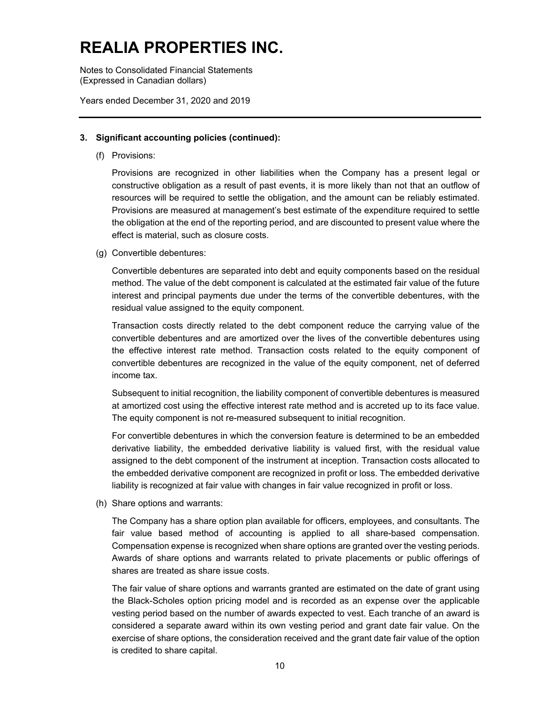Notes to Consolidated Financial Statements (Expressed in Canadian dollars)

Years ended December 31, 2020 and 2019

#### **3. Significant accounting policies (continued):**

(f) Provisions:

Provisions are recognized in other liabilities when the Company has a present legal or constructive obligation as a result of past events, it is more likely than not that an outflow of resources will be required to settle the obligation, and the amount can be reliably estimated. Provisions are measured at management's best estimate of the expenditure required to settle the obligation at the end of the reporting period, and are discounted to present value where the effect is material, such as closure costs.

(g) Convertible debentures:

Convertible debentures are separated into debt and equity components based on the residual method. The value of the debt component is calculated at the estimated fair value of the future interest and principal payments due under the terms of the convertible debentures, with the residual value assigned to the equity component.

Transaction costs directly related to the debt component reduce the carrying value of the convertible debentures and are amortized over the lives of the convertible debentures using the effective interest rate method. Transaction costs related to the equity component of convertible debentures are recognized in the value of the equity component, net of deferred income tax.

Subsequent to initial recognition, the liability component of convertible debentures is measured at amortized cost using the effective interest rate method and is accreted up to its face value. The equity component is not re-measured subsequent to initial recognition.

For convertible debentures in which the conversion feature is determined to be an embedded derivative liability, the embedded derivative liability is valued first, with the residual value assigned to the debt component of the instrument at inception. Transaction costs allocated to the embedded derivative component are recognized in profit or loss. The embedded derivative liability is recognized at fair value with changes in fair value recognized in profit or loss.

(h) Share options and warrants:

The Company has a share option plan available for officers, employees, and consultants. The fair value based method of accounting is applied to all share-based compensation. Compensation expense is recognized when share options are granted over the vesting periods. Awards of share options and warrants related to private placements or public offerings of shares are treated as share issue costs.

The fair value of share options and warrants granted are estimated on the date of grant using the Black-Scholes option pricing model and is recorded as an expense over the applicable vesting period based on the number of awards expected to vest. Each tranche of an award is considered a separate award within its own vesting period and grant date fair value. On the exercise of share options, the consideration received and the grant date fair value of the option is credited to share capital.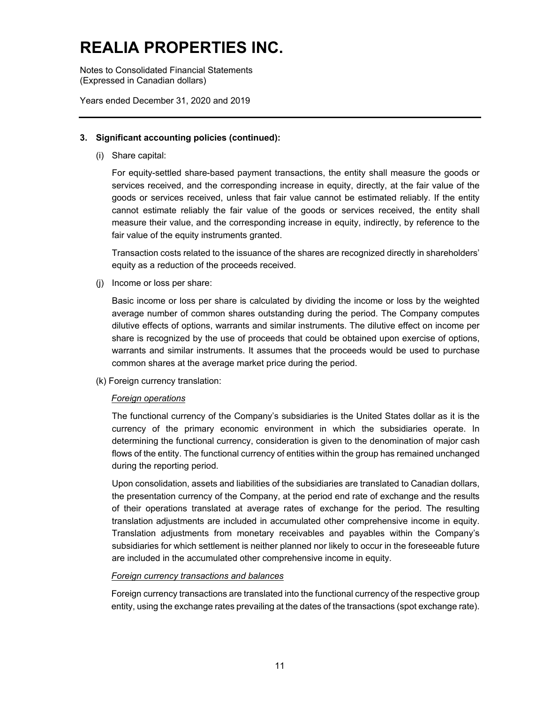Notes to Consolidated Financial Statements (Expressed in Canadian dollars)

Years ended December 31, 2020 and 2019

#### **3. Significant accounting policies (continued):**

(i) Share capital:

For equity-settled share-based payment transactions, the entity shall measure the goods or services received, and the corresponding increase in equity, directly, at the fair value of the goods or services received, unless that fair value cannot be estimated reliably. If the entity cannot estimate reliably the fair value of the goods or services received, the entity shall measure their value, and the corresponding increase in equity, indirectly, by reference to the fair value of the equity instruments granted.

Transaction costs related to the issuance of the shares are recognized directly in shareholders' equity as a reduction of the proceeds received.

(j) Income or loss per share:

Basic income or loss per share is calculated by dividing the income or loss by the weighted average number of common shares outstanding during the period. The Company computes dilutive effects of options, warrants and similar instruments. The dilutive effect on income per share is recognized by the use of proceeds that could be obtained upon exercise of options, warrants and similar instruments. It assumes that the proceeds would be used to purchase common shares at the average market price during the period.

(k) Foreign currency translation:

#### *Foreign operations*

The functional currency of the Company's subsidiaries is the United States dollar as it is the currency of the primary economic environment in which the subsidiaries operate. In determining the functional currency, consideration is given to the denomination of major cash flows of the entity. The functional currency of entities within the group has remained unchanged during the reporting period.

Upon consolidation, assets and liabilities of the subsidiaries are translated to Canadian dollars, the presentation currency of the Company, at the period end rate of exchange and the results of their operations translated at average rates of exchange for the period. The resulting translation adjustments are included in accumulated other comprehensive income in equity. Translation adjustments from monetary receivables and payables within the Company's subsidiaries for which settlement is neither planned nor likely to occur in the foreseeable future are included in the accumulated other comprehensive income in equity.

#### *Foreign currency transactions and balances*

Foreign currency transactions are translated into the functional currency of the respective group entity, using the exchange rates prevailing at the dates of the transactions (spot exchange rate).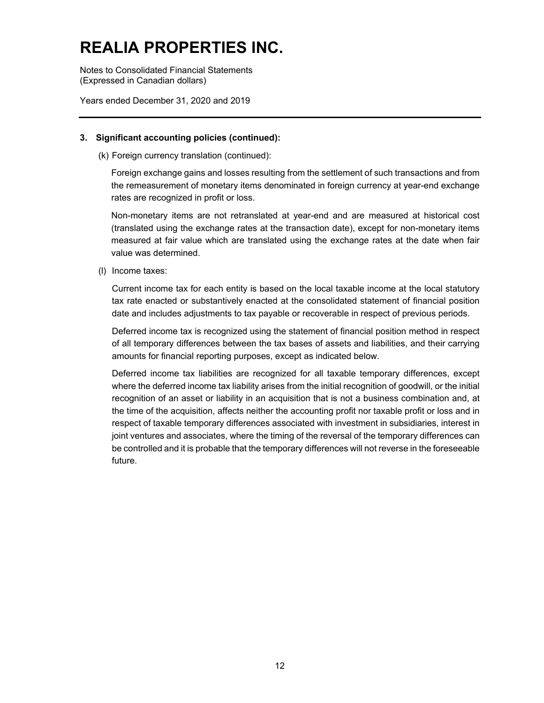Notes to Consolidated Financial Statements (Expressed in Canadian dollars)

Years ended December 31, 2020 and 2019

#### **3. Significant accounting policies (continued):**

(k) Foreign currency translation (continued):

Foreign exchange gains and losses resulting from the settlement of such transactions and from the remeasurement of monetary items denominated in foreign currency at year-end exchange rates are recognized in profit or loss.

Non-monetary items are not retranslated at year-end and are measured at historical cost (translated using the exchange rates at the transaction date), except for non-monetary items measured at fair value which are translated using the exchange rates at the date when fair value was determined.

(l) Income taxes:

Current income tax for each entity is based on the local taxable income at the local statutory tax rate enacted or substantively enacted at the consolidated statement of financial position date and includes adjustments to tax payable or recoverable in respect of previous periods.

Deferred income tax is recognized using the statement of financial position method in respect of all temporary differences between the tax bases of assets and liabilities, and their carrying amounts for financial reporting purposes, except as indicated below.

Deferred income tax liabilities are recognized for all taxable temporary differences, except where the deferred income tax liability arises from the initial recognition of goodwill, or the initial recognition of an asset or liability in an acquisition that is not a business combination and, at the time of the acquisition, affects neither the accounting profit nor taxable profit or loss and in respect of taxable temporary differences associated with investment in subsidiaries, interest in joint ventures and associates, where the timing of the reversal of the temporary differences can be controlled and it is probable that the temporary differences will not reverse in the foreseeable future.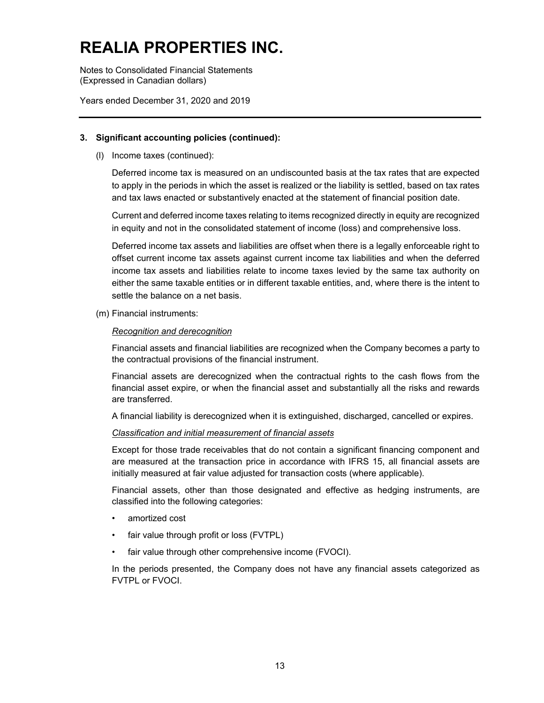Notes to Consolidated Financial Statements (Expressed in Canadian dollars)

Years ended December 31, 2020 and 2019

#### **3. Significant accounting policies (continued):**

(l) Income taxes (continued):

Deferred income tax is measured on an undiscounted basis at the tax rates that are expected to apply in the periods in which the asset is realized or the liability is settled, based on tax rates and tax laws enacted or substantively enacted at the statement of financial position date.

Current and deferred income taxes relating to items recognized directly in equity are recognized in equity and not in the consolidated statement of income (loss) and comprehensive loss.

Deferred income tax assets and liabilities are offset when there is a legally enforceable right to offset current income tax assets against current income tax liabilities and when the deferred income tax assets and liabilities relate to income taxes levied by the same tax authority on either the same taxable entities or in different taxable entities, and, where there is the intent to settle the balance on a net basis.

(m) Financial instruments:

#### *Recognition and derecognition*

Financial assets and financial liabilities are recognized when the Company becomes a party to the contractual provisions of the financial instrument.

Financial assets are derecognized when the contractual rights to the cash flows from the financial asset expire, or when the financial asset and substantially all the risks and rewards are transferred.

A financial liability is derecognized when it is extinguished, discharged, cancelled or expires.

#### *Classification and initial measurement of financial assets*

Except for those trade receivables that do not contain a significant financing component and are measured at the transaction price in accordance with IFRS 15, all financial assets are initially measured at fair value adjusted for transaction costs (where applicable).

Financial assets, other than those designated and effective as hedging instruments, are classified into the following categories:

- amortized cost
- fair value through profit or loss (FVTPL)
- fair value through other comprehensive income (FVOCI).

In the periods presented, the Company does not have any financial assets categorized as FVTPL or FVOCI.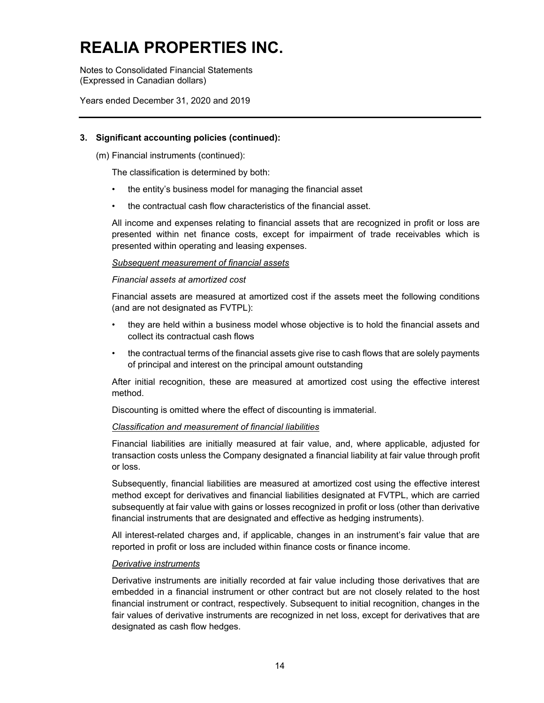Notes to Consolidated Financial Statements (Expressed in Canadian dollars)

Years ended December 31, 2020 and 2019

#### **3. Significant accounting policies (continued):**

(m) Financial instruments (continued):

The classification is determined by both:

- the entity's business model for managing the financial asset
- the contractual cash flow characteristics of the financial asset.

All income and expenses relating to financial assets that are recognized in profit or loss are presented within net finance costs, except for impairment of trade receivables which is presented within operating and leasing expenses.

#### *Subsequent measurement of financial assets*

#### *Financial assets at amortized cost*

Financial assets are measured at amortized cost if the assets meet the following conditions (and are not designated as FVTPL):

- they are held within a business model whose objective is to hold the financial assets and collect its contractual cash flows
- the contractual terms of the financial assets give rise to cash flows that are solely payments of principal and interest on the principal amount outstanding

After initial recognition, these are measured at amortized cost using the effective interest method.

Discounting is omitted where the effect of discounting is immaterial.

#### *Classification and measurement of financial liabilities*

Financial liabilities are initially measured at fair value, and, where applicable, adjusted for transaction costs unless the Company designated a financial liability at fair value through profit or loss.

Subsequently, financial liabilities are measured at amortized cost using the effective interest method except for derivatives and financial liabilities designated at FVTPL, which are carried subsequently at fair value with gains or losses recognized in profit or loss (other than derivative financial instruments that are designated and effective as hedging instruments).

All interest-related charges and, if applicable, changes in an instrument's fair value that are reported in profit or loss are included within finance costs or finance income.

#### *Derivative instruments*

Derivative instruments are initially recorded at fair value including those derivatives that are embedded in a financial instrument or other contract but are not closely related to the host financial instrument or contract, respectively. Subsequent to initial recognition, changes in the fair values of derivative instruments are recognized in net loss, except for derivatives that are designated as cash flow hedges.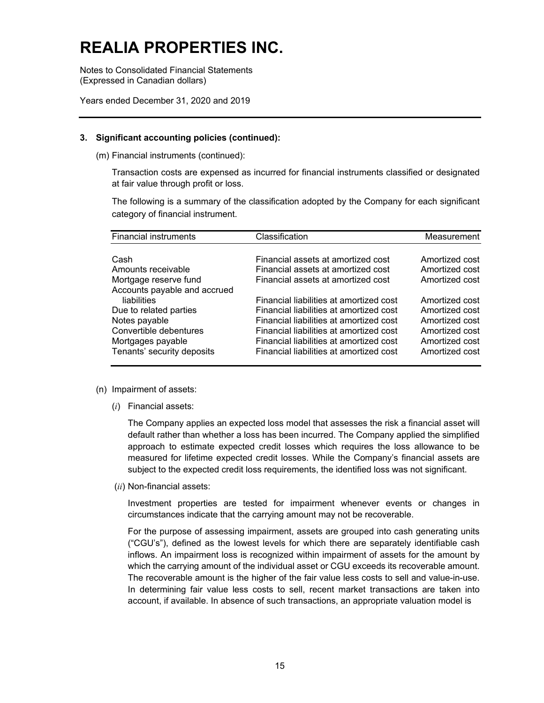Notes to Consolidated Financial Statements (Expressed in Canadian dollars)

Years ended December 31, 2020 and 2019

#### **3. Significant accounting policies (continued):**

(m) Financial instruments (continued):

Transaction costs are expensed as incurred for financial instruments classified or designated at fair value through profit or loss.

The following is a summary of the classification adopted by the Company for each significant category of financial instrument.

| Classification                          | Measurement                        |
|-----------------------------------------|------------------------------------|
|                                         |                                    |
|                                         | Amortized cost                     |
| Financial assets at amortized cost      | Amortized cost                     |
| Financial assets at amortized cost      | Amortized cost                     |
|                                         |                                    |
| Financial liabilities at amortized cost | Amortized cost                     |
| Financial liabilities at amortized cost | Amortized cost                     |
| Financial liabilities at amortized cost | Amortized cost                     |
| Financial liabilities at amortized cost | Amortized cost                     |
| Financial liabilities at amortized cost | Amortized cost                     |
| Financial liabilities at amortized cost | Amortized cost                     |
|                                         | Financial assets at amortized cost |

#### (n) Impairment of assets:

(*i*) Financial assets:

The Company applies an expected loss model that assesses the risk a financial asset will default rather than whether a loss has been incurred. The Company applied the simplified approach to estimate expected credit losses which requires the loss allowance to be measured for lifetime expected credit losses. While the Company's financial assets are subject to the expected credit loss requirements, the identified loss was not significant.

(*ii*) Non-financial assets:

Investment properties are tested for impairment whenever events or changes in circumstances indicate that the carrying amount may not be recoverable.

For the purpose of assessing impairment, assets are grouped into cash generating units ("CGU's"), defined as the lowest levels for which there are separately identifiable cash inflows. An impairment loss is recognized within impairment of assets for the amount by which the carrying amount of the individual asset or CGU exceeds its recoverable amount. The recoverable amount is the higher of the fair value less costs to sell and value-in-use. In determining fair value less costs to sell, recent market transactions are taken into account, if available. In absence of such transactions, an appropriate valuation model is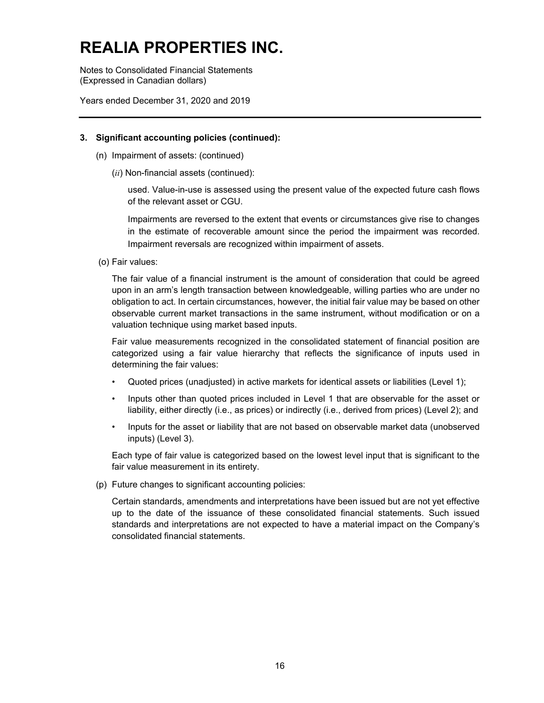Notes to Consolidated Financial Statements (Expressed in Canadian dollars)

Years ended December 31, 2020 and 2019

#### **3. Significant accounting policies (continued):**

- (n) Impairment of assets: (continued)
	- (*ii*) Non-financial assets (continued):

used. Value-in-use is assessed using the present value of the expected future cash flows of the relevant asset or CGU.

Impairments are reversed to the extent that events or circumstances give rise to changes in the estimate of recoverable amount since the period the impairment was recorded. Impairment reversals are recognized within impairment of assets.

(o) Fair values:

The fair value of a financial instrument is the amount of consideration that could be agreed upon in an arm's length transaction between knowledgeable, willing parties who are under no obligation to act. In certain circumstances, however, the initial fair value may be based on other observable current market transactions in the same instrument, without modification or on a valuation technique using market based inputs.

Fair value measurements recognized in the consolidated statement of financial position are categorized using a fair value hierarchy that reflects the significance of inputs used in determining the fair values:

- Quoted prices (unadjusted) in active markets for identical assets or liabilities (Level 1);
- Inputs other than quoted prices included in Level 1 that are observable for the asset or liability, either directly (i.e., as prices) or indirectly (i.e., derived from prices) (Level 2); and
- Inputs for the asset or liability that are not based on observable market data (unobserved inputs) (Level 3).

Each type of fair value is categorized based on the lowest level input that is significant to the fair value measurement in its entirety.

(p) Future changes to significant accounting policies:

Certain standards, amendments and interpretations have been issued but are not yet effective up to the date of the issuance of these consolidated financial statements. Such issued standards and interpretations are not expected to have a material impact on the Company's consolidated financial statements.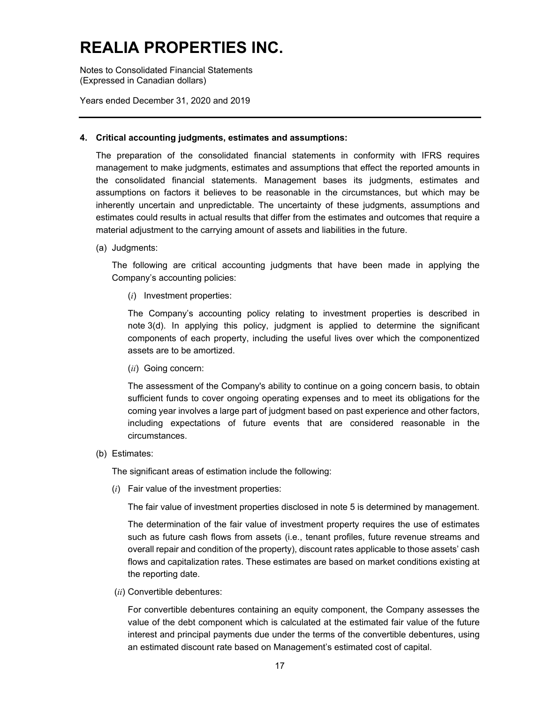Notes to Consolidated Financial Statements (Expressed in Canadian dollars)

Years ended December 31, 2020 and 2019

#### **4. Critical accounting judgments, estimates and assumptions:**

The preparation of the consolidated financial statements in conformity with IFRS requires management to make judgments, estimates and assumptions that effect the reported amounts in the consolidated financial statements. Management bases its judgments, estimates and assumptions on factors it believes to be reasonable in the circumstances, but which may be inherently uncertain and unpredictable. The uncertainty of these judgments, assumptions and estimates could results in actual results that differ from the estimates and outcomes that require a material adjustment to the carrying amount of assets and liabilities in the future.

(a) Judgments:

The following are critical accounting judgments that have been made in applying the Company's accounting policies:

(*i*) Investment properties:

The Company's accounting policy relating to investment properties is described in note 3(d). In applying this policy, judgment is applied to determine the significant components of each property, including the useful lives over which the componentized assets are to be amortized.

(*ii*) Going concern:

The assessment of the Company's ability to continue on a going concern basis, to obtain sufficient funds to cover ongoing operating expenses and to meet its obligations for the coming year involves a large part of judgment based on past experience and other factors, including expectations of future events that are considered reasonable in the circumstances.

(b) Estimates:

The significant areas of estimation include the following:

(*i*) Fair value of the investment properties:

The fair value of investment properties disclosed in note 5 is determined by management.

The determination of the fair value of investment property requires the use of estimates such as future cash flows from assets (i.e., tenant profiles, future revenue streams and overall repair and condition of the property), discount rates applicable to those assets' cash flows and capitalization rates. These estimates are based on market conditions existing at the reporting date.

(*ii*) Convertible debentures:

For convertible debentures containing an equity component, the Company assesses the value of the debt component which is calculated at the estimated fair value of the future interest and principal payments due under the terms of the convertible debentures, using an estimated discount rate based on Management's estimated cost of capital.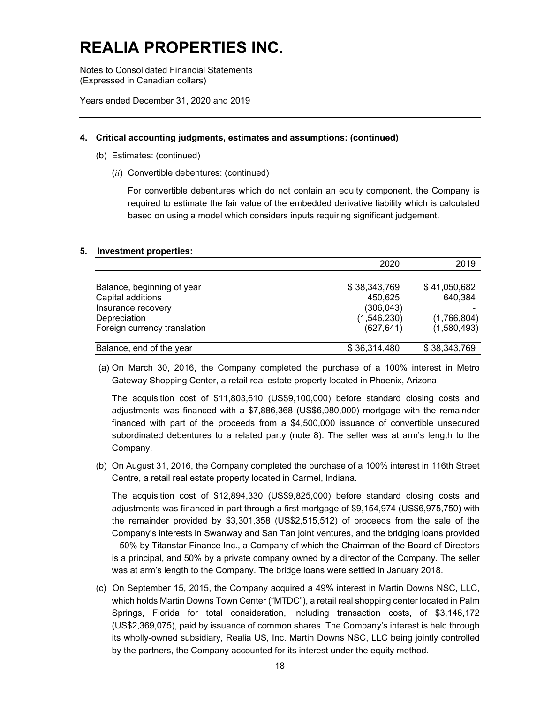Notes to Consolidated Financial Statements (Expressed in Canadian dollars)

Years ended December 31, 2020 and 2019

#### **4. Critical accounting judgments, estimates and assumptions: (continued)**

- (b) Estimates: (continued)
	- (*ii*) Convertible debentures: (continued)

For convertible debentures which do not contain an equity component, the Company is required to estimate the fair value of the embedded derivative liability which is calculated based on using a model which considers inputs requiring significant judgement.

#### **5. Investment properties:**

|                              | 2020         | 2019         |
|------------------------------|--------------|--------------|
|                              |              |              |
| Balance, beginning of year   | \$38,343,769 | \$41,050,682 |
| Capital additions            | 450,625      | 640,384      |
| Insurance recovery           | (306, 043)   |              |
| Depreciation                 | (1,546,230)  | (1,766,804)  |
| Foreign currency translation | (627, 641)   | (1,580,493)  |
| Balance, end of the year     | \$36,314,480 | \$38,343,769 |

 (a) On March 30, 2016, the Company completed the purchase of a 100% interest in Metro Gateway Shopping Center, a retail real estate property located in Phoenix, Arizona.

The acquisition cost of \$11,803,610 (US\$9,100,000) before standard closing costs and adjustments was financed with a \$7,886,368 (US\$6,080,000) mortgage with the remainder financed with part of the proceeds from a \$4,500,000 issuance of convertible unsecured subordinated debentures to a related party (note 8). The seller was at arm's length to the Company.

(b) On August 31, 2016, the Company completed the purchase of a 100% interest in 116th Street Centre, a retail real estate property located in Carmel, Indiana.

The acquisition cost of \$12,894,330 (US\$9,825,000) before standard closing costs and adjustments was financed in part through a first mortgage of \$9,154,974 (US\$6,975,750) with the remainder provided by \$3,301,358 (US\$2,515,512) of proceeds from the sale of the Company's interests in Swanway and San Tan joint ventures, and the bridging loans provided – 50% by Titanstar Finance Inc., a Company of which the Chairman of the Board of Directors is a principal, and 50% by a private company owned by a director of the Company. The seller was at arm's length to the Company. The bridge loans were settled in January 2018.

(c) On September 15, 2015, the Company acquired a 49% interest in Martin Downs NSC, LLC, which holds Martin Downs Town Center ("MTDC"), a retail real shopping center located in Palm Springs, Florida for total consideration, including transaction costs, of \$3,146,172 (US\$2,369,075), paid by issuance of common shares. The Company's interest is held through its wholly-owned subsidiary, Realia US, Inc. Martin Downs NSC, LLC being jointly controlled by the partners, the Company accounted for its interest under the equity method.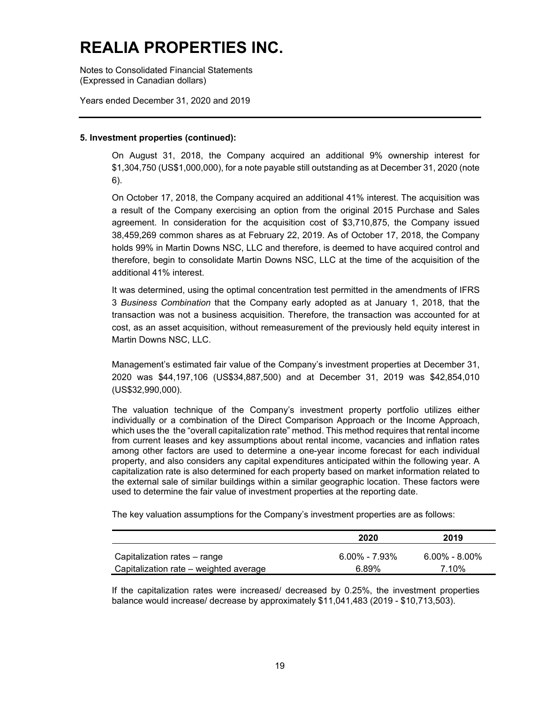Notes to Consolidated Financial Statements (Expressed in Canadian dollars)

Years ended December 31, 2020 and 2019

#### **5. Investment properties (continued):**

On August 31, 2018, the Company acquired an additional 9% ownership interest for \$1,304,750 (US\$1,000,000), for a note payable still outstanding as at December 31, 2020 (note 6).

On October 17, 2018, the Company acquired an additional 41% interest. The acquisition was a result of the Company exercising an option from the original 2015 Purchase and Sales agreement. In consideration for the acquisition cost of \$3,710,875, the Company issued 38,459,269 common shares as at February 22, 2019. As of October 17, 2018, the Company holds 99% in Martin Downs NSC, LLC and therefore, is deemed to have acquired control and therefore, begin to consolidate Martin Downs NSC, LLC at the time of the acquisition of the additional 41% interest.

It was determined, using the optimal concentration test permitted in the amendments of IFRS 3 *Business Combination* that the Company early adopted as at January 1, 2018, that the transaction was not a business acquisition. Therefore, the transaction was accounted for at cost, as an asset acquisition, without remeasurement of the previously held equity interest in Martin Downs NSC, LLC.

Management's estimated fair value of the Company's investment properties at December 31, 2020 was \$44,197,106 (US\$34,887,500) and at December 31, 2019 was \$42,854,010 (US\$32,990,000).

The valuation technique of the Company's investment property portfolio utilizes either individually or a combination of the Direct Comparison Approach or the Income Approach, which uses the the "overall capitalization rate" method. This method requires that rental income from current leases and key assumptions about rental income, vacancies and inflation rates among other factors are used to determine a one-year income forecast for each individual property, and also considers any capital expenditures anticipated within the following year. A capitalization rate is also determined for each property based on market information related to the external sale of similar buildings within a similar geographic location. These factors were used to determine the fair value of investment properties at the reporting date.

|                                        | 2020             | 2019             |
|----------------------------------------|------------------|------------------|
| Capitalization rates - range           | $6.00\%$ - 7.93% | $6.00\%$ - 8.00% |
| Capitalization rate – weighted average | 6.89%            | 7.10%            |

The key valuation assumptions for the Company's investment properties are as follows:

If the capitalization rates were increased/ decreased by 0.25%, the investment properties balance would increase/ decrease by approximately \$11,041,483 (2019 - \$10,713,503).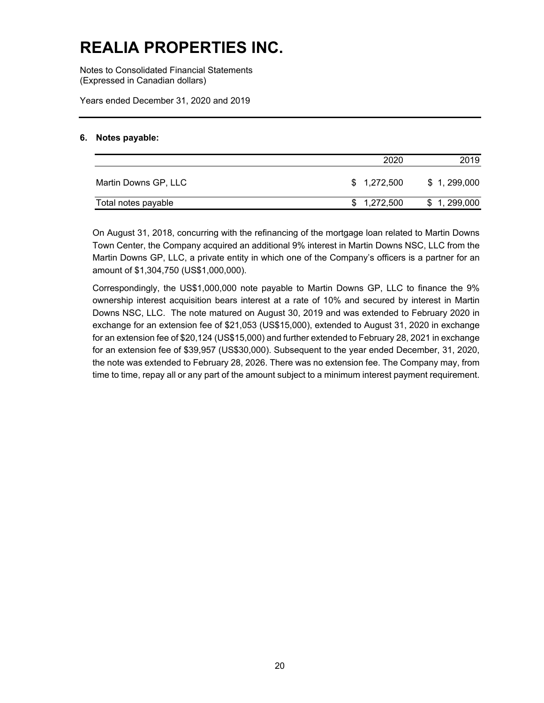Notes to Consolidated Financial Statements (Expressed in Canadian dollars)

Years ended December 31, 2020 and 2019

#### **6. Notes payable:**

|                      | 2020        | 2019         |
|----------------------|-------------|--------------|
| Martin Downs GP, LLC | \$1.272.500 | \$1,299,000  |
| Total notes payable  | \$1,272,500 | \$1, 299,000 |

On August 31, 2018, concurring with the refinancing of the mortgage loan related to Martin Downs Town Center, the Company acquired an additional 9% interest in Martin Downs NSC, LLC from the Martin Downs GP, LLC, a private entity in which one of the Company's officers is a partner for an amount of \$1,304,750 (US\$1,000,000).

Correspondingly, the US\$1,000,000 note payable to Martin Downs GP, LLC to finance the 9% ownership interest acquisition bears interest at a rate of 10% and secured by interest in Martin Downs NSC, LLC. The note matured on August 30, 2019 and was extended to February 2020 in exchange for an extension fee of \$21,053 (US\$15,000), extended to August 31, 2020 in exchange for an extension fee of \$20,124 (US\$15,000) and further extended to February 28, 2021 in exchange for an extension fee of \$39,957 (US\$30,000). Subsequent to the year ended December, 31, 2020, the note was extended to February 28, 2026. There was no extension fee. The Company may, from time to time, repay all or any part of the amount subject to a minimum interest payment requirement.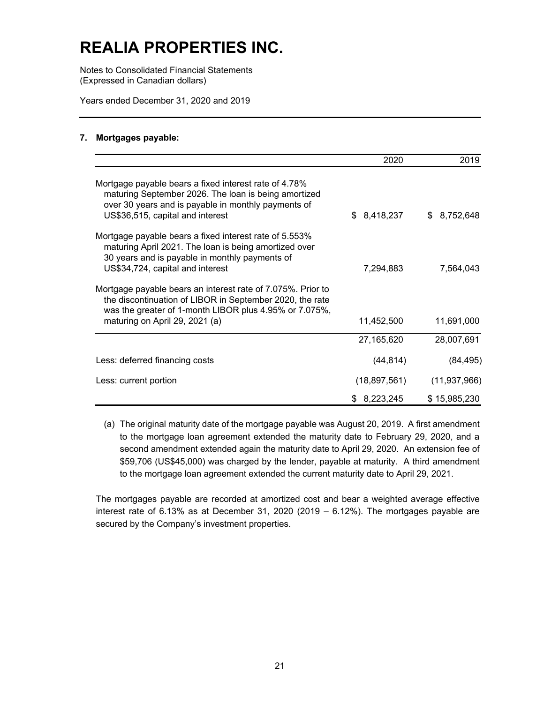Notes to Consolidated Financial Statements (Expressed in Canadian dollars)

Years ended December 31, 2020 and 2019

#### **7. Mortgages payable:**

|                                                                                                                                                                                                                     | 2020             | 2019             |
|---------------------------------------------------------------------------------------------------------------------------------------------------------------------------------------------------------------------|------------------|------------------|
| Mortgage payable bears a fixed interest rate of 4.78%<br>maturing September 2026. The loan is being amortized<br>over 30 years and is payable in monthly payments of<br>US\$36,515, capital and interest            | 8,418,237<br>\$. | 8,752,648<br>\$. |
| Mortgage payable bears a fixed interest rate of 5.553%<br>maturing April 2021. The loan is being amortized over<br>30 years and is payable in monthly payments of<br>US\$34,724, capital and interest               | 7,294,883        | 7,564,043        |
| Mortgage payable bears an interest rate of 7.075%. Prior to<br>the discontinuation of LIBOR in September 2020, the rate<br>was the greater of 1-month LIBOR plus 4.95% or 7.075%,<br>maturing on April 29, 2021 (a) | 11,452,500       | 11,691,000       |
|                                                                                                                                                                                                                     | 27,165,620       | 28,007,691       |
| Less: deferred financing costs                                                                                                                                                                                      | (44, 814)        | (84, 495)        |
| Less: current portion                                                                                                                                                                                               | (18, 897, 561)   | (11, 937, 966)   |
|                                                                                                                                                                                                                     | 8,223,245<br>\$. | \$15,985,230     |

(a) The original maturity date of the mortgage payable was August 20, 2019. A first amendment to the mortgage loan agreement extended the maturity date to February 29, 2020, and a second amendment extended again the maturity date to April 29, 2020. An extension fee of \$59,706 (US\$45,000) was charged by the lender, payable at maturity. A third amendment to the mortgage loan agreement extended the current maturity date to April 29, 2021.

The mortgages payable are recorded at amortized cost and bear a weighted average effective interest rate of 6.13% as at December 31, 2020 (2019 – 6.12%). The mortgages payable are secured by the Company's investment properties.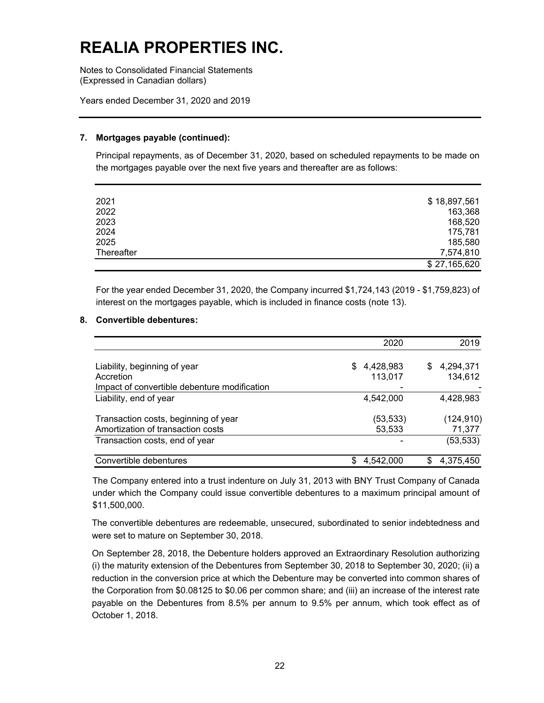Notes to Consolidated Financial Statements (Expressed in Canadian dollars)

#### **7. Mortgages payable (continued):**

Principal repayments, as of December 31, 2020, based on scheduled repayments to be made on the mortgages payable over the next five years and thereafter are as follows:

| 2021       | \$18,897,561 |
|------------|--------------|
| 2022       | 163,368      |
| 2023       | 168,520      |
| 2024       | 175,781      |
| 2025       | 185,580      |
| Thereafter | 7,574,810    |
|            | \$27,165,620 |
|            |              |

For the year ended December 31, 2020, the Company incurred \$1,724,143 (2019 - \$1,759,823) of interest on the mortgages payable, which is included in finance costs (note 13).

#### **8. Convertible debentures:**

|                                              | 2020                        | 2019                      |
|----------------------------------------------|-----------------------------|---------------------------|
| Liability, beginning of year<br>Accretion    | 4,428,983<br>\$.<br>113,017 | 4,294,371<br>S<br>134,612 |
| Impact of convertible debenture modification |                             |                           |
| Liability, end of year                       | 4.542.000                   | 4,428,983                 |
| Transaction costs, beginning of year         | (53,533)                    | (124, 910)                |
| Amortization of transaction costs            | 53,533                      | 71,377                    |
| Transaction costs, end of year               |                             | (53, 533)                 |
| Convertible debentures                       | 4.542.000<br>S              | 4,375,450<br>S            |

The Company entered into a trust indenture on July 31, 2013 with BNY Trust Company of Canada under which the Company could issue convertible debentures to a maximum principal amount of \$11,500,000.

The convertible debentures are redeemable, unsecured, subordinated to senior indebtedness and were set to mature on September 30, 2018.

On September 28, 2018, the Debenture holders approved an Extraordinary Resolution authorizing (i) the maturity extension of the Debentures from September 30, 2018 to September 30, 2020; (ii) a reduction in the conversion price at which the Debenture may be converted into common shares of the Corporation from \$0.08125 to \$0.06 per common share; and (iii) an increase of the interest rate payable on the Debentures from 8.5% per annum to 9.5% per annum, which took effect as of October 1, 2018.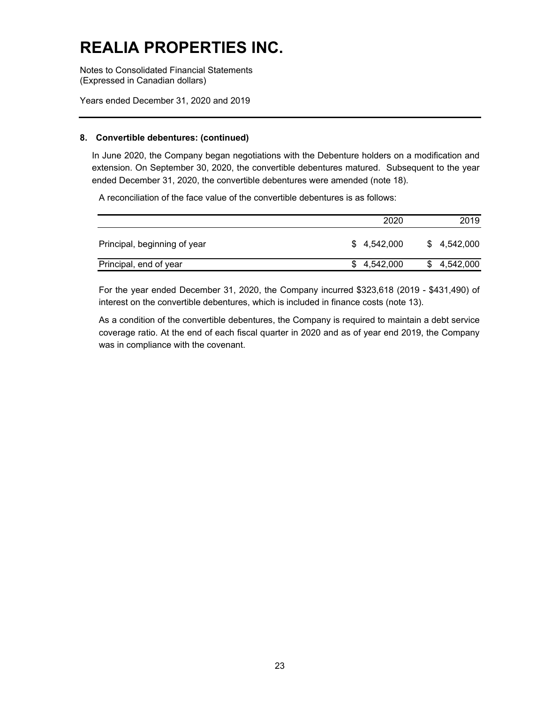Notes to Consolidated Financial Statements (Expressed in Canadian dollars)

Years ended December 31, 2020 and 2019

#### **8. Convertible debentures: (continued)**

In June 2020, the Company began negotiations with the Debenture holders on a modification and extension. On September 30, 2020, the convertible debentures matured. Subsequent to the year ended December 31, 2020, the convertible debentures were amended (note 18).

A reconciliation of the face value of the convertible debentures is as follows:

|                              | 2020        | 2019        |
|------------------------------|-------------|-------------|
| Principal, beginning of year | \$4,542,000 | \$4,542,000 |
| Principal, end of year       | \$4,542,000 | \$4,542,000 |

For the year ended December 31, 2020, the Company incurred \$323,618 (2019 - \$431,490) of interest on the convertible debentures, which is included in finance costs (note 13).

As a condition of the convertible debentures, the Company is required to maintain a debt service coverage ratio. At the end of each fiscal quarter in 2020 and as of year end 2019, the Company was in compliance with the covenant.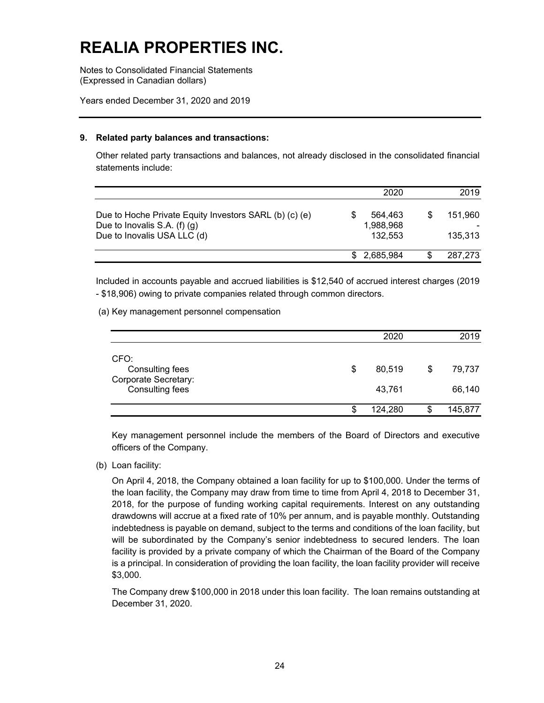Notes to Consolidated Financial Statements (Expressed in Canadian dollars)

Years ended December 31, 2020 and 2019

#### **9. Related party balances and transactions:**

Other related party transactions and balances, not already disclosed in the consolidated financial statements include:

|                                                                                                                        | 2020                            | 2019               |
|------------------------------------------------------------------------------------------------------------------------|---------------------------------|--------------------|
| Due to Hoche Private Equity Investors SARL (b) (c) (e)<br>Due to Inovalis S.A. $(f)(g)$<br>Due to Inovalis USA LLC (d) | 564,463<br>1,988,968<br>132,553 | 151.960<br>135.313 |
|                                                                                                                        | \$2,685,984                     | 287,273            |

Included in accounts payable and accrued liabilities is \$12,540 of accrued interest charges (2019 - \$18,906) owing to private companies related through common directors.

(a) Key management personnel compensation

|                                                                    | 2020                   |    | 2019             |
|--------------------------------------------------------------------|------------------------|----|------------------|
| CFO:<br>Consulting fees<br>Corporate Secretary:<br>Consulting fees | \$<br>80,519<br>43,761 | S  | 79,737<br>66,140 |
|                                                                    | 124,280                | S. | 145,877          |

Key management personnel include the members of the Board of Directors and executive officers of the Company.

(b) Loan facility:

On April 4, 2018, the Company obtained a loan facility for up to \$100,000. Under the terms of the loan facility, the Company may draw from time to time from April 4, 2018 to December 31, 2018, for the purpose of funding working capital requirements. Interest on any outstanding drawdowns will accrue at a fixed rate of 10% per annum, and is payable monthly. Outstanding indebtedness is payable on demand, subject to the terms and conditions of the loan facility, but will be subordinated by the Company's senior indebtedness to secured lenders. The loan facility is provided by a private company of which the Chairman of the Board of the Company is a principal. In consideration of providing the loan facility, the loan facility provider will receive \$3,000.

The Company drew \$100,000 in 2018 under this loan facility. The loan remains outstanding at December 31, 2020.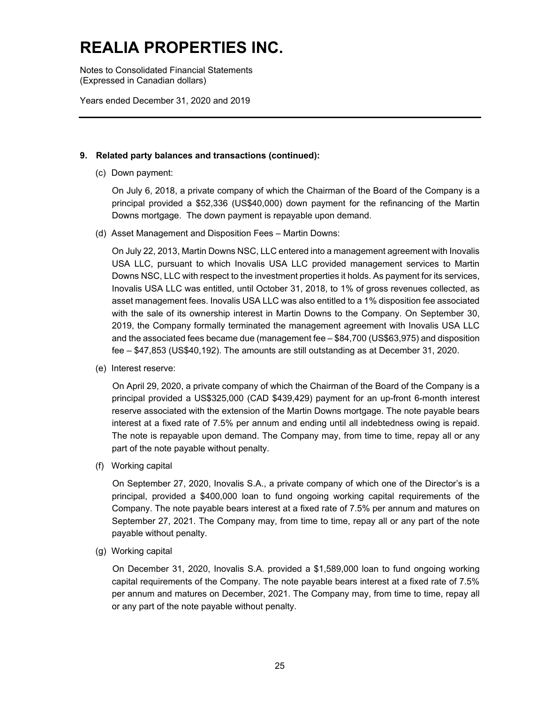Notes to Consolidated Financial Statements (Expressed in Canadian dollars)

Years ended December 31, 2020 and 2019

#### **9. Related party balances and transactions (continued):**

(c) Down payment:

On July 6, 2018, a private company of which the Chairman of the Board of the Company is a principal provided a \$52,336 (US\$40,000) down payment for the refinancing of the Martin Downs mortgage. The down payment is repayable upon demand.

(d) Asset Management and Disposition Fees – Martin Downs:

On July 22, 2013, Martin Downs NSC, LLC entered into a management agreement with Inovalis USA LLC, pursuant to which Inovalis USA LLC provided management services to Martin Downs NSC, LLC with respect to the investment properties it holds. As payment for its services, Inovalis USA LLC was entitled, until October 31, 2018, to 1% of gross revenues collected, as asset management fees. Inovalis USA LLC was also entitled to a 1% disposition fee associated with the sale of its ownership interest in Martin Downs to the Company. On September 30, 2019, the Company formally terminated the management agreement with Inovalis USA LLC and the associated fees became due (management fee – \$84,700 (US\$63,975) and disposition fee – \$47,853 (US\$40,192). The amounts are still outstanding as at December 31, 2020.

(e) Interest reserve:

On April 29, 2020, a private company of which the Chairman of the Board of the Company is a principal provided a US\$325,000 (CAD \$439,429) payment for an up-front 6-month interest reserve associated with the extension of the Martin Downs mortgage. The note payable bears interest at a fixed rate of 7.5% per annum and ending until all indebtedness owing is repaid. The note is repayable upon demand. The Company may, from time to time, repay all or any part of the note payable without penalty.

(f) Working capital

On September 27, 2020, Inovalis S.A., a private company of which one of the Director's is a principal, provided a \$400,000 loan to fund ongoing working capital requirements of the Company. The note payable bears interest at a fixed rate of 7.5% per annum and matures on September 27, 2021. The Company may, from time to time, repay all or any part of the note payable without penalty.

(g) Working capital

On December 31, 2020, Inovalis S.A. provided a \$1,589,000 loan to fund ongoing working capital requirements of the Company. The note payable bears interest at a fixed rate of 7.5% per annum and matures on December, 2021. The Company may, from time to time, repay all or any part of the note payable without penalty.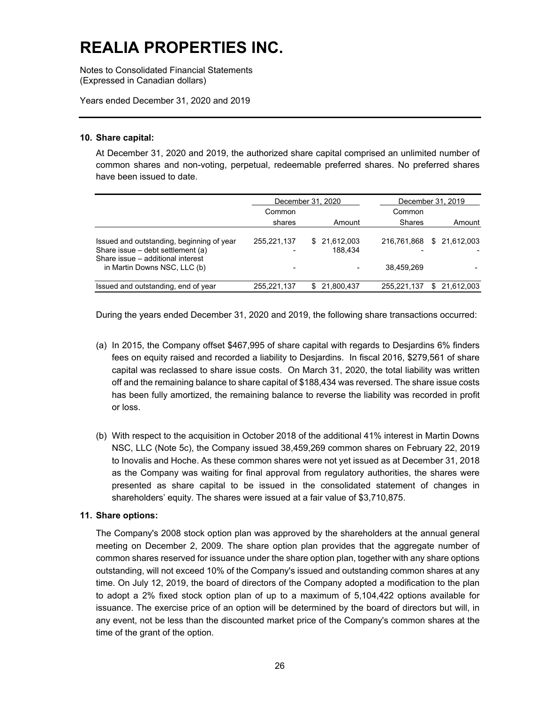Notes to Consolidated Financial Statements (Expressed in Canadian dollars)

Years ended December 31, 2020 and 2019

#### **10. Share capital:**

At December 31, 2020 and 2019, the authorized share capital comprised an unlimited number of common shares and non-voting, perpetual, redeemable preferred shares. No preferred shares have been issued to date.

|                                                                                                                                                     |                                         | December 31, 2020       |                           | December 31, 2019 |
|-----------------------------------------------------------------------------------------------------------------------------------------------------|-----------------------------------------|-------------------------|---------------------------|-------------------|
|                                                                                                                                                     | Common                                  |                         |                           |                   |
|                                                                                                                                                     | shares                                  | Amount                  | <b>Shares</b>             | Amount            |
| Issued and outstanding, beginning of year<br>Share issue - debt settlement (a)<br>Share issue - additional interest<br>in Martin Downs NSC, LLC (b) | 255,221,137<br>$\overline{\phantom{0}}$ | \$21,612,003<br>188.434 | 216,761,868<br>38,459,269 | \$ 21,612,003     |
| Issued and outstanding, end of year                                                                                                                 | 255,221,137                             | 21,800,437              | 255,221,137               | 21,612,003<br>S   |

During the years ended December 31, 2020 and 2019, the following share transactions occurred:

- (a) In 2015, the Company offset \$467,995 of share capital with regards to Desjardins 6% finders fees on equity raised and recorded a liability to Desjardins. In fiscal 2016, \$279,561 of share capital was reclassed to share issue costs. On March 31, 2020, the total liability was written off and the remaining balance to share capital of \$188,434 was reversed. The share issue costs has been fully amortized, the remaining balance to reverse the liability was recorded in profit or loss.
- (b) With respect to the acquisition in October 2018 of the additional 41% interest in Martin Downs NSC, LLC (Note 5c), the Company issued 38,459,269 common shares on February 22, 2019 to Inovalis and Hoche. As these common shares were not yet issued as at December 31, 2018 as the Company was waiting for final approval from regulatory authorities, the shares were presented as share capital to be issued in the consolidated statement of changes in shareholders' equity. The shares were issued at a fair value of \$3,710,875.

#### **11. Share options:**

The Company's 2008 stock option plan was approved by the shareholders at the annual general meeting on December 2, 2009. The share option plan provides that the aggregate number of common shares reserved for issuance under the share option plan, together with any share options outstanding, will not exceed 10% of the Company's issued and outstanding common shares at any time. On July 12, 2019, the board of directors of the Company adopted a modification to the plan to adopt a 2% fixed stock option plan of up to a maximum of 5,104,422 options available for issuance. The exercise price of an option will be determined by the board of directors but will, in any event, not be less than the discounted market price of the Company's common shares at the time of the grant of the option.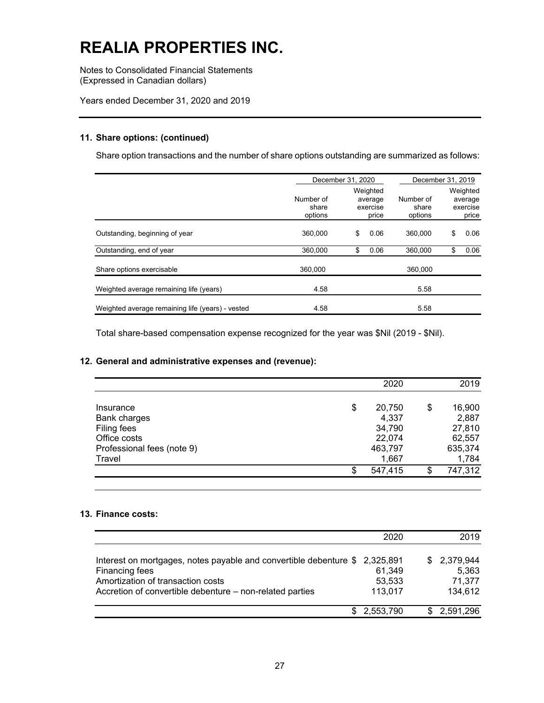Notes to Consolidated Financial Statements (Expressed in Canadian dollars)

Years ended December 31, 2020 and 2019

#### **11. Share options: (continued)**

Share option transactions and the number of share options outstanding are summarized as follows:

|                                                  |                               | December 31, 2020                        | December 31, 2019             |    |                                          |
|--------------------------------------------------|-------------------------------|------------------------------------------|-------------------------------|----|------------------------------------------|
|                                                  | Number of<br>share<br>options | Weighted<br>average<br>exercise<br>price | Number of<br>share<br>options |    | Weighted<br>average<br>exercise<br>price |
| Outstanding, beginning of year                   | 360.000                       | 0.06<br>\$                               | 360.000                       | \$ | 0.06                                     |
| Outstanding, end of year                         | 360.000                       | \$<br>0.06                               | 360.000                       | \$ | 0.06                                     |
| Share options exercisable                        | 360.000                       |                                          | 360.000                       |    |                                          |
| Weighted average remaining life (years)          | 4.58                          |                                          | 5.58                          |    |                                          |
| Weighted average remaining life (years) - vested | 4.58                          |                                          | 5.58                          |    |                                          |

Total share-based compensation expense recognized for the year was \$Nil (2019 - \$Nil).

#### **12. General and administrative expenses and (revenue):**

|                            | 2020          |    | 2019    |
|----------------------------|---------------|----|---------|
| Insurance                  | \$<br>20,750  | \$ | 16,900  |
| Bank charges               | 4,337         |    | 2,887   |
| Filing fees                | 34,790        |    | 27,810  |
| Office costs               | 22,074        |    | 62,557  |
| Professional fees (note 9) | 463,797       |    | 635,374 |
| Travel                     | 1,667         |    | 1,784   |
|                            | \$<br>547,415 | S  | 747,312 |

#### **13. Finance costs:**

|                                                                                                                                                                                                | 2020                        | 2019                                      |
|------------------------------------------------------------------------------------------------------------------------------------------------------------------------------------------------|-----------------------------|-------------------------------------------|
| Interest on mortgages, notes payable and convertible debenture $$2,325,891$<br>Financing fees<br>Amortization of transaction costs<br>Accretion of convertible debenture - non-related parties | 61,349<br>53,533<br>113,017 | \$2,379,944<br>5,363<br>71,377<br>134,612 |
|                                                                                                                                                                                                | \$2,553,790                 | \$2,591,296                               |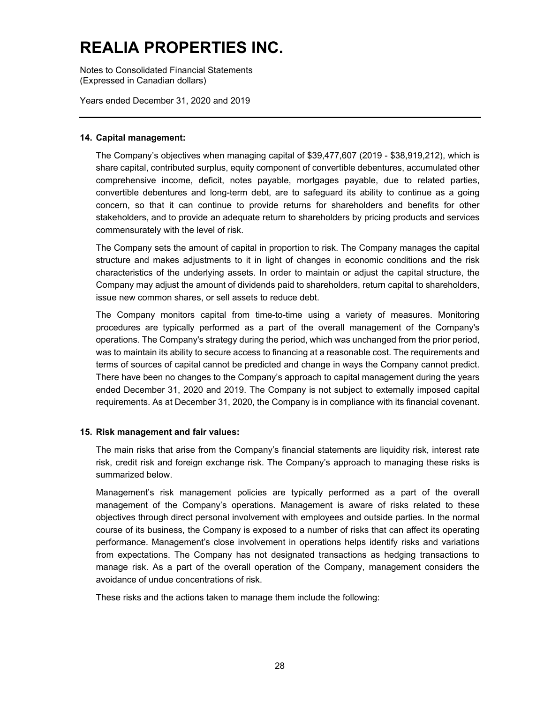Notes to Consolidated Financial Statements (Expressed in Canadian dollars)

Years ended December 31, 2020 and 2019

#### **14. Capital management:**

The Company's objectives when managing capital of \$39,477,607 (2019 - \$38,919,212), which is share capital, contributed surplus, equity component of convertible debentures, accumulated other comprehensive income, deficit, notes payable, mortgages payable, due to related parties, convertible debentures and long-term debt, are to safeguard its ability to continue as a going concern, so that it can continue to provide returns for shareholders and benefits for other stakeholders, and to provide an adequate return to shareholders by pricing products and services commensurately with the level of risk.

The Company sets the amount of capital in proportion to risk. The Company manages the capital structure and makes adjustments to it in light of changes in economic conditions and the risk characteristics of the underlying assets. In order to maintain or adjust the capital structure, the Company may adjust the amount of dividends paid to shareholders, return capital to shareholders, issue new common shares, or sell assets to reduce debt.

The Company monitors capital from time-to-time using a variety of measures. Monitoring procedures are typically performed as a part of the overall management of the Company's operations. The Company's strategy during the period, which was unchanged from the prior period, was to maintain its ability to secure access to financing at a reasonable cost. The requirements and terms of sources of capital cannot be predicted and change in ways the Company cannot predict. There have been no changes to the Company's approach to capital management during the years ended December 31, 2020 and 2019. The Company is not subject to externally imposed capital requirements. As at December 31, 2020, the Company is in compliance with its financial covenant.

#### **15. Risk management and fair values:**

The main risks that arise from the Company's financial statements are liquidity risk, interest rate risk, credit risk and foreign exchange risk. The Company's approach to managing these risks is summarized below.

Management's risk management policies are typically performed as a part of the overall management of the Company's operations. Management is aware of risks related to these objectives through direct personal involvement with employees and outside parties. In the normal course of its business, the Company is exposed to a number of risks that can affect its operating performance. Management's close involvement in operations helps identify risks and variations from expectations. The Company has not designated transactions as hedging transactions to manage risk. As a part of the overall operation of the Company, management considers the avoidance of undue concentrations of risk.

These risks and the actions taken to manage them include the following: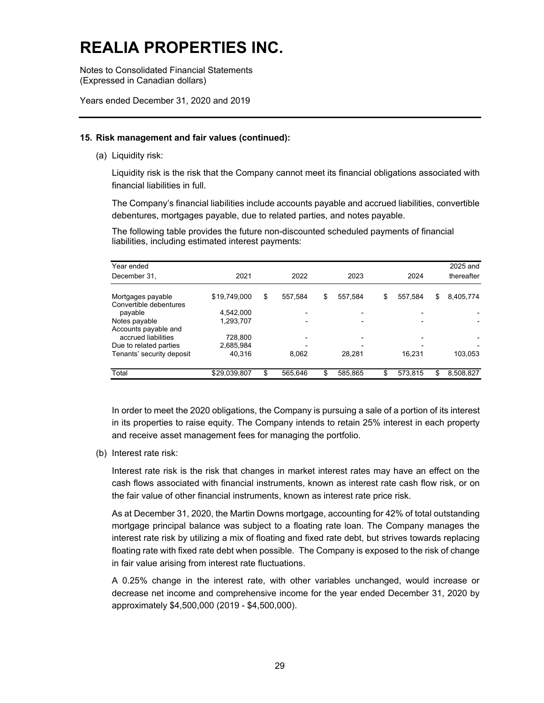Notes to Consolidated Financial Statements (Expressed in Canadian dollars)

Years ended December 31, 2020 and 2019

#### **15. Risk management and fair values (continued):**

(a) Liquidity risk:

Liquidity risk is the risk that the Company cannot meet its financial obligations associated with financial liabilities in full.

The Company's financial liabilities include accounts payable and accrued liabilities, convertible debentures, mortgages payable, due to related parties, and notes payable.

The following table provides the future non-discounted scheduled payments of financial liabilities, including estimated interest payments:

| Year ended<br>December 31,                  | 2021         |    | 2022                     | 2023                     | 2024          | 2025 and<br>thereafter |
|---------------------------------------------|--------------|----|--------------------------|--------------------------|---------------|------------------------|
| Mortgages payable<br>Convertible debentures | \$19,749,000 | \$ | 557.584                  | \$<br>557.584            | \$<br>557.584 | \$<br>8,405,774        |
| payable                                     | 4,542,000    |    |                          | $\overline{\phantom{0}}$ |               |                        |
| Notes payable                               | 1,293,707    |    |                          | ۰                        |               |                        |
| Accounts payable and                        |              |    |                          |                          |               |                        |
| accrued liabilities                         | 728.800      |    | $\overline{\phantom{0}}$ | $\overline{\phantom{0}}$ |               |                        |
| Due to related parties                      | 2,685,984    |    |                          |                          |               |                        |
| Tenants' security deposit                   | 40,316       |    | 8,062                    | 28,281                   | 16.231        | 103,053                |
| Total                                       | \$29,039,807 | S  | 565.646                  | \$<br>585,865            | \$<br>573,815 | \$<br>8,508,827        |

In order to meet the 2020 obligations, the Company is pursuing a sale of a portion of its interest in its properties to raise equity. The Company intends to retain 25% interest in each property and receive asset management fees for managing the portfolio.

#### (b) Interest rate risk:

Interest rate risk is the risk that changes in market interest rates may have an effect on the cash flows associated with financial instruments, known as interest rate cash flow risk, or on the fair value of other financial instruments, known as interest rate price risk.

As at December 31, 2020, the Martin Downs mortgage, accounting for 42% of total outstanding mortgage principal balance was subject to a floating rate loan. The Company manages the interest rate risk by utilizing a mix of floating and fixed rate debt, but strives towards replacing floating rate with fixed rate debt when possible. The Company is exposed to the risk of change in fair value arising from interest rate fluctuations.

A 0.25% change in the interest rate, with other variables unchanged, would increase or decrease net income and comprehensive income for the year ended December 31, 2020 by approximately \$4,500,000 (2019 - \$4,500,000).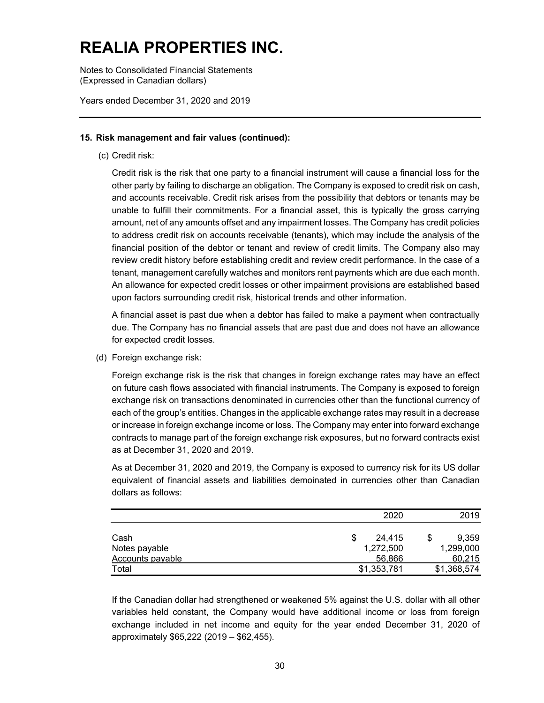Notes to Consolidated Financial Statements (Expressed in Canadian dollars)

Years ended December 31, 2020 and 2019

#### **15. Risk management and fair values (continued):**

(c) Credit risk:

Credit risk is the risk that one party to a financial instrument will cause a financial loss for the other party by failing to discharge an obligation. The Company is exposed to credit risk on cash, and accounts receivable. Credit risk arises from the possibility that debtors or tenants may be unable to fulfill their commitments. For a financial asset, this is typically the gross carrying amount, net of any amounts offset and any impairment losses. The Company has credit policies to address credit risk on accounts receivable (tenants), which may include the analysis of the financial position of the debtor or tenant and review of credit limits. The Company also may review credit history before establishing credit and review credit performance. In the case of a tenant, management carefully watches and monitors rent payments which are due each month. An allowance for expected credit losses or other impairment provisions are established based upon factors surrounding credit risk, historical trends and other information.

A financial asset is past due when a debtor has failed to make a payment when contractually due. The Company has no financial assets that are past due and does not have an allowance for expected credit losses.

(d) Foreign exchange risk:

Foreign exchange risk is the risk that changes in foreign exchange rates may have an effect on future cash flows associated with financial instruments. The Company is exposed to foreign exchange risk on transactions denominated in currencies other than the functional currency of each of the group's entities. Changes in the applicable exchange rates may result in a decrease or increase in foreign exchange income or loss. The Company may enter into forward exchange contracts to manage part of the foreign exchange risk exposures, but no forward contracts exist as at December 31, 2020 and 2019.

As at December 31, 2020 and 2019, the Company is exposed to currency risk for its US dollar equivalent of financial assets and liabilities demoinated in currencies other than Canadian dollars as follows:

|                  | 2020        | 2019        |
|------------------|-------------|-------------|
| Cash             | 24.415      | 9.359<br>S  |
| Notes payable    | 1,272,500   | 1,299,000   |
| Accounts payable | 56,866      | 60,215      |
| Total            | \$1,353,781 | \$1,368,574 |

If the Canadian dollar had strengthened or weakened 5% against the U.S. dollar with all other variables held constant, the Company would have additional income or loss from foreign exchange included in net income and equity for the year ended December 31, 2020 of approximately \$65,222 (2019 – \$62,455).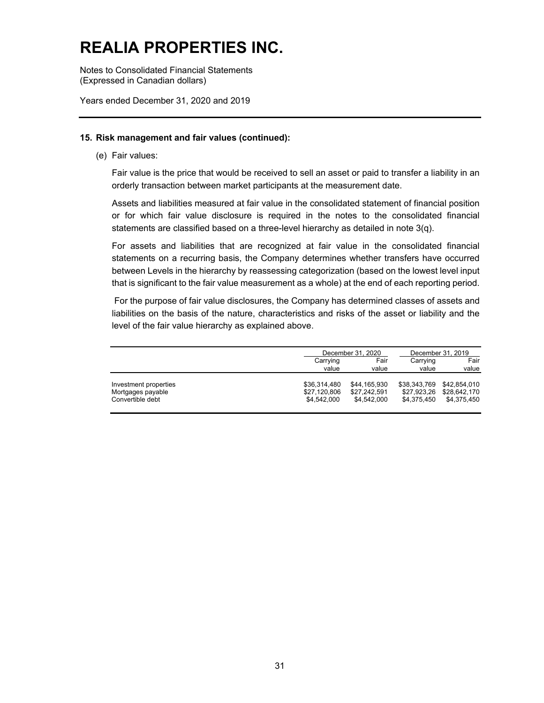Notes to Consolidated Financial Statements (Expressed in Canadian dollars)

Years ended December 31, 2020 and 2019

#### **15. Risk management and fair values (continued):**

(e) Fair values:

Fair value is the price that would be received to sell an asset or paid to transfer a liability in an orderly transaction between market participants at the measurement date.

Assets and liabilities measured at fair value in the consolidated statement of financial position or for which fair value disclosure is required in the notes to the consolidated financial statements are classified based on a three-level hierarchy as detailed in note 3(q).

For assets and liabilities that are recognized at fair value in the consolidated financial statements on a recurring basis, the Company determines whether transfers have occurred between Levels in the hierarchy by reassessing categorization (based on the lowest level input that is significant to the fair value measurement as a whole) at the end of each reporting period.

 For the purpose of fair value disclosures, the Company has determined classes of assets and liabilities on the basis of the nature, characteristics and risks of the asset or liability and the level of the fair value hierarchy as explained above.

|                       |              | December 31, 2020 | December 31, 2019 |              |  |
|-----------------------|--------------|-------------------|-------------------|--------------|--|
|                       | Carrying     | Fair              |                   | Fair         |  |
|                       | value        | value             |                   | value        |  |
| Investment properties | \$36,314,480 | \$44.165.930      | \$38,343,769      | \$42.854.010 |  |
| Mortgages payable     | \$27,120,806 | \$27,242,591      | \$27,923,26       | \$28.642.170 |  |
| Convertible debt      | \$4.542.000  | \$4.542.000       | \$4.375.450       | \$4.375.450  |  |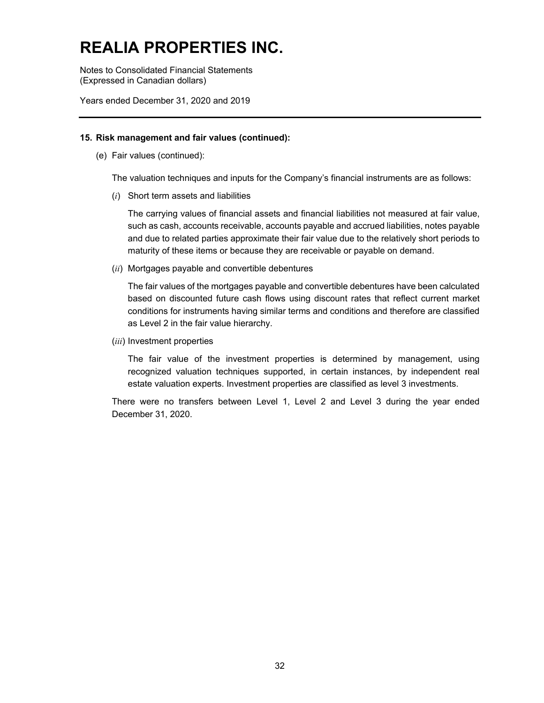Notes to Consolidated Financial Statements (Expressed in Canadian dollars)

Years ended December 31, 2020 and 2019

#### **15. Risk management and fair values (continued):**

(e) Fair values (continued):

The valuation techniques and inputs for the Company's financial instruments are as follows:

(*i*) Short term assets and liabilities

The carrying values of financial assets and financial liabilities not measured at fair value, such as cash, accounts receivable, accounts payable and accrued liabilities, notes payable and due to related parties approximate their fair value due to the relatively short periods to maturity of these items or because they are receivable or payable on demand.

(*ii*) Mortgages payable and convertible debentures

The fair values of the mortgages payable and convertible debentures have been calculated based on discounted future cash flows using discount rates that reflect current market conditions for instruments having similar terms and conditions and therefore are classified as Level 2 in the fair value hierarchy.

(*iii*) Investment properties

The fair value of the investment properties is determined by management, using recognized valuation techniques supported, in certain instances, by independent real estate valuation experts. Investment properties are classified as level 3 investments.

There were no transfers between Level 1, Level 2 and Level 3 during the year ended December 31, 2020.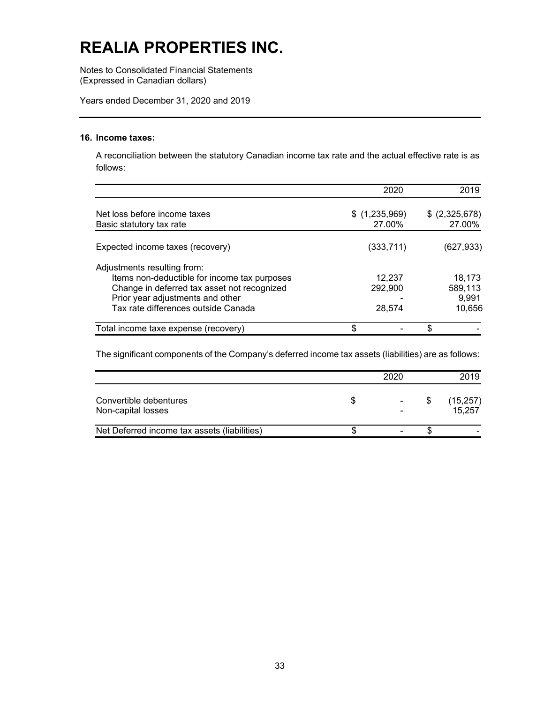Notes to Consolidated Financial Statements (Expressed in Canadian dollars)

Years ended December 31, 2020 and 2019

#### **16. Income taxes:**

A reconciliation between the statutory Canadian income tax rate and the actual effective rate is as follows:

|                                                                                                                                                                                                       | 2020                        | 2019                                 |
|-------------------------------------------------------------------------------------------------------------------------------------------------------------------------------------------------------|-----------------------------|--------------------------------------|
| Net loss before income taxes<br>Basic statutory tax rate                                                                                                                                              | \$(1,235,969)<br>27.00%     | \$(2,325,678)<br>27.00%              |
| Expected income taxes (recovery)                                                                                                                                                                      | (333, 711)                  | (627, 933)                           |
| Adjustments resulting from:<br>Items non-deductible for income tax purposes<br>Change in deferred tax asset not recognized<br>Prior year adjustments and other<br>Tax rate differences outside Canada | 12,237<br>292,900<br>28,574 | 18,173<br>589,113<br>9,991<br>10,656 |
| Total income taxe expense (recovery)                                                                                                                                                                  | \$                          | \$                                   |

The significant components of the Company's deferred income tax assets (liabilities) are as follows:

|                                              | 2020           | 2019                |
|----------------------------------------------|----------------|---------------------|
| Convertible debentures<br>Non-capital losses | $\blacksquare$ | (15, 257)<br>15.257 |
| Net Deferred income tax assets (liabilities) | -              |                     |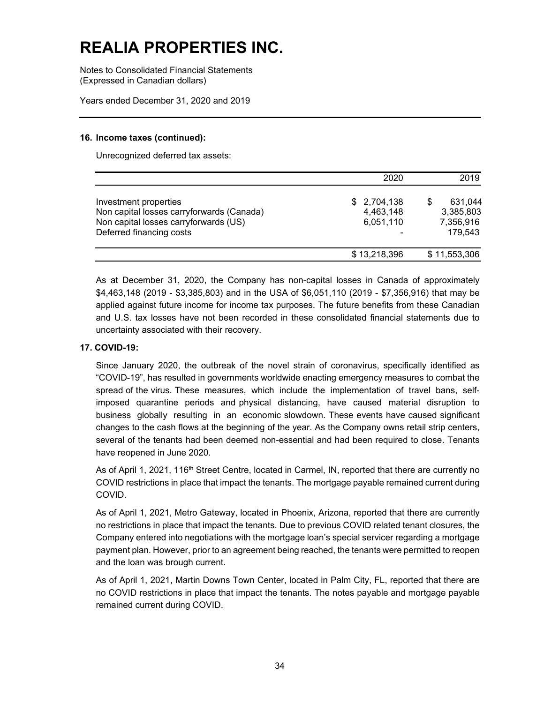Notes to Consolidated Financial Statements (Expressed in Canadian dollars)

Years ended December 31, 2020 and 2019

#### **16. Income taxes (continued):**

Unrecognized deferred tax assets:

|                                                                                                                                         | 2020                                  | 2019                                         |
|-----------------------------------------------------------------------------------------------------------------------------------------|---------------------------------------|----------------------------------------------|
| Investment properties<br>Non capital losses carryforwards (Canada)<br>Non capital losses carryforwards (US)<br>Deferred financing costs | \$2,704,138<br>4,463,148<br>6,051,110 | 631.044<br>3,385,803<br>7,356,916<br>179,543 |
|                                                                                                                                         | \$13,218,396                          | \$11,553,306                                 |

As at December 31, 2020, the Company has non-capital losses in Canada of approximately \$4,463,148 (2019 - \$3,385,803) and in the USA of \$6,051,110 (2019 - \$7,356,916) that may be applied against future income for income tax purposes. The future benefits from these Canadian and U.S. tax losses have not been recorded in these consolidated financial statements due to uncertainty associated with their recovery.

#### **17. COVID-19:**

Since January 2020, the outbreak of the novel strain of coronavirus, specifically identified as "COVID-19", has resulted in governments worldwide enacting emergency measures to combat the spread of the virus. These measures, which include the implementation of travel bans, selfimposed quarantine periods and physical distancing, have caused material disruption to business globally resulting in an economic slowdown. These events have caused significant changes to the cash flows at the beginning of the year. As the Company owns retail strip centers, several of the tenants had been deemed non-essential and had been required to close. Tenants have reopened in June 2020.

As of April 1, 2021, 116<sup>th</sup> Street Centre, located in Carmel, IN, reported that there are currently no COVID restrictions in place that impact the tenants. The mortgage payable remained current during COVID.

As of April 1, 2021, Metro Gateway, located in Phoenix, Arizona, reported that there are currently no restrictions in place that impact the tenants. Due to previous COVID related tenant closures, the Company entered into negotiations with the mortgage loan's special servicer regarding a mortgage payment plan. However, prior to an agreement being reached, the tenants were permitted to reopen and the loan was brough current.

As of April 1, 2021, Martin Downs Town Center, located in Palm City, FL, reported that there are no COVID restrictions in place that impact the tenants. The notes payable and mortgage payable remained current during COVID.